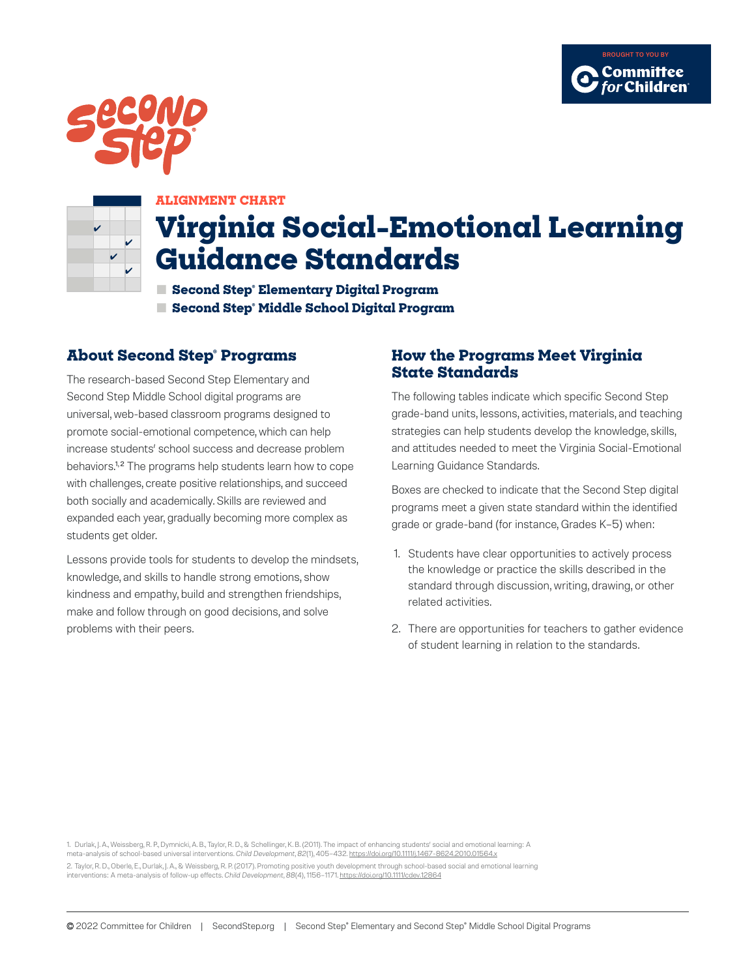



#### **ALIGNMENT CHART**

# **Virginia Social-Emotional Learning Guidance Standards**

**■ Second Step® Elementary Digital Program ■ Second Step® Middle School Digital Program**

## **About Second Step® Programs**

The research-based Second Step Elementary and Second Step Middle School digital programs are universal, web-based classroom programs designed to promote social-emotional competence, which can help increase students' school success and decrease problem behaviors.<sup>1,2</sup> The programs help students learn how to cope with challenges, create positive relationships, and succeed both socially and academically. Skills are reviewed and expanded each year, gradually becoming more complex as students get older.

Lessons provide tools for students to develop the mindsets, knowledge, and skills to handle strong emotions, show kindness and empathy, build and strengthen friendships, make and follow through on good decisions, and solve problems with their peers.

## **How the Programs Meet Virginia State Standards**

The following tables indicate which specific Second Step grade-band units, lessons, activities, materials, and teaching strategies can help students develop the knowledge, skills, and attitudes needed to meet the Virginia Social-Emotional Learning Guidance Standards.

Boxes are checked to indicate that the Second Step digital programs meet a given state standard within the identified grade or grade-band (for instance, Grades K–5) when:

- 1. Students have clear opportunities to actively process the knowledge or practice the skills described in the standard through discussion, writing, drawing, or other related activities.
- 2. There are opportunities for teachers to gather evidence of student learning in relation to the standards.

1. Durlak, J. A., Weissberg, R. P., Dymnicki, A. B., Taylor, R. D., & Schellinger, K. B. (2011). The impact of enhancing students' social and emotional learning: A meta-analysis of school-based universal interventions. *Child Development*, *82*(1), 405–432. <https://doi.org/10.1111/j.1467-8624.2010.01564.x> 2. Taylor, R. D., Oberle, E., Durlak, J. A., & Weissberg, R. P. (2017). Promoting positive youth development through school-based social and emotional learning interventions: A meta-analysis of follow-up effects. *Child Development*, *88*(4), 1156–1171.<https://doi.org/10.1111/cdev.12864>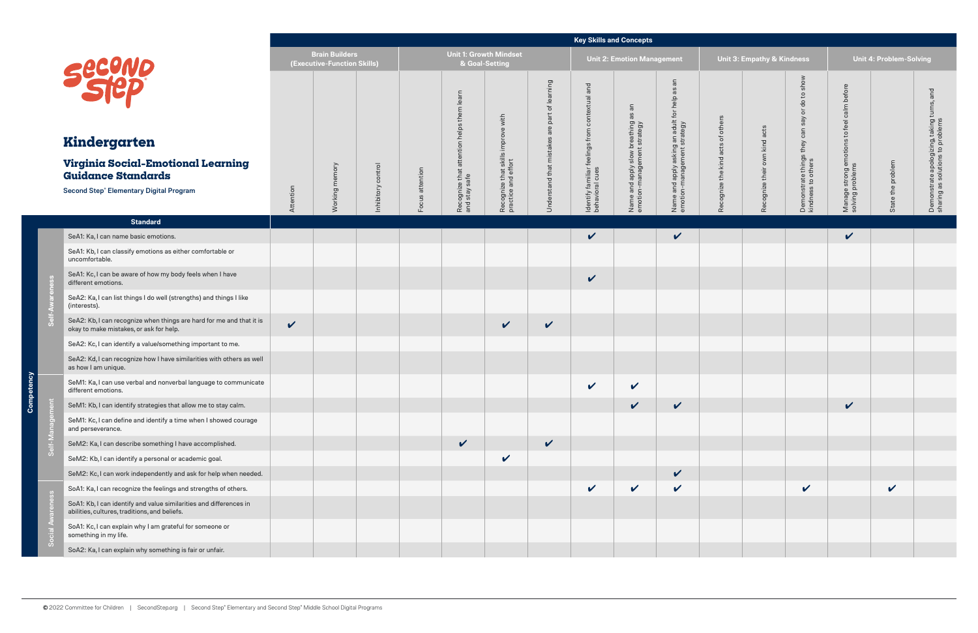ency - 75 Compe

|                |                                                                                                                                                    |              |                                                      |                      |                 |                                                               |                                                           |                                                                       | <b>Key Skills and Concepts</b>                                       |                                                                          |                                                                              |                                   |                                       |                                                                                                                                     |                                                                           |                         |                                                                                                   |
|----------------|----------------------------------------------------------------------------------------------------------------------------------------------------|--------------|------------------------------------------------------|----------------------|-----------------|---------------------------------------------------------------|-----------------------------------------------------------|-----------------------------------------------------------------------|----------------------------------------------------------------------|--------------------------------------------------------------------------|------------------------------------------------------------------------------|-----------------------------------|---------------------------------------|-------------------------------------------------------------------------------------------------------------------------------------|---------------------------------------------------------------------------|-------------------------|---------------------------------------------------------------------------------------------------|
|                |                                                                                                                                                    |              | <b>Brain Builders</b><br>(Executive-Function Skills) |                      |                 | <b>Unit 1: Growth Mindset</b><br>& Goal-Setting               |                                                           |                                                                       |                                                                      | <b>Unit 2: Emotion Management</b>                                        |                                                                              |                                   | <b>Unit 3: Empathy &amp; Kindness</b> |                                                                                                                                     |                                                                           | Unit 4: Problem-Solving |                                                                                                   |
|                | <b>Second</b><br>Kindergarten<br>Virginia Social-Emotional Learning<br><b>Guidance Standards</b><br><b>Second Step® Elementary Digital Program</b> | Attention    | Working memory                                       | control<br>nhibitory | Focus attention | learn<br>Recognize that attention helps them<br>and stay safe | Recognize that skills improve with<br>practice and effort | lrning<br>lea<br>৳<br>are part<br>$\omega$<br>Understand that mistake | and<br>Identify familiar feelings from contextual<br>behavioral cues | $\Xi$<br>Name and apply slow breathing as<br>emotion-management strategy | Name and apply asking an adult for help as an<br>emotion-management strategy | Recognize the kind acts of others | acts<br>Recognize their own kind      | show<br>$\mathtt{S}$<br>$\frac{1}{\sigma}$<br>$\overline{\sigma}$<br>say<br>can<br>they<br>Demonstrate things<br>kindness to others | before<br>calm<br>feel<br>đ<br>Manage strong emotions<br>solving problems | State the problem       | $\overline{\sigma}$<br>Demonstrate apologizing, taking turns,<br>sharing as solutions to problems |
|                | <b>Standard</b>                                                                                                                                    |              |                                                      |                      |                 |                                                               |                                                           |                                                                       |                                                                      |                                                                          |                                                                              |                                   |                                       |                                                                                                                                     |                                                                           |                         |                                                                                                   |
|                | SeA1: Ka, I can name basic emotions.                                                                                                               |              |                                                      |                      |                 |                                                               |                                                           |                                                                       | $\checkmark$                                                         |                                                                          | $\checkmark$                                                                 |                                   |                                       |                                                                                                                                     | $\checkmark$                                                              |                         |                                                                                                   |
|                | SeA1: Kb, I can classify emotions as either comfortable or<br>uncomfortable.                                                                       |              |                                                      |                      |                 |                                                               |                                                           |                                                                       |                                                                      |                                                                          |                                                                              |                                   |                                       |                                                                                                                                     |                                                                           |                         |                                                                                                   |
|                | SeA1: Kc, I can be aware of how my body feels when I have<br>different emotions.                                                                   |              |                                                      |                      |                 |                                                               |                                                           |                                                                       | $\checkmark$                                                         |                                                                          |                                                                              |                                   |                                       |                                                                                                                                     |                                                                           |                         |                                                                                                   |
|                | SeA2: Ka, I can list things I do well (strengths) and things I like<br>(interests).                                                                |              |                                                      |                      |                 |                                                               |                                                           |                                                                       |                                                                      |                                                                          |                                                                              |                                   |                                       |                                                                                                                                     |                                                                           |                         |                                                                                                   |
|                | SeA2: Kb, I can recognize when things are hard for me and that it is<br>okay to make mistakes, or ask for help.                                    | $\checkmark$ |                                                      |                      |                 |                                                               | $\checkmark$                                              | $\checkmark$                                                          |                                                                      |                                                                          |                                                                              |                                   |                                       |                                                                                                                                     |                                                                           |                         |                                                                                                   |
|                | SeA2: Kc, I can identify a value/something important to me.                                                                                        |              |                                                      |                      |                 |                                                               |                                                           |                                                                       |                                                                      |                                                                          |                                                                              |                                   |                                       |                                                                                                                                     |                                                                           |                         |                                                                                                   |
|                | SeA2: Kd, I can recognize how I have similarities with others as well<br>as how I am unique.                                                       |              |                                                      |                      |                 |                                                               |                                                           |                                                                       |                                                                      |                                                                          |                                                                              |                                   |                                       |                                                                                                                                     |                                                                           |                         |                                                                                                   |
|                | SeM1: Ka, I can use verbal and nonverbal language to communicate<br>different emotions.                                                            |              |                                                      |                      |                 |                                                               |                                                           |                                                                       | $\checkmark$                                                         | $\checkmark$                                                             |                                                                              |                                   |                                       |                                                                                                                                     |                                                                           |                         |                                                                                                   |
|                | SeM1: Kb, I can identify strategies that allow me to stay calm.                                                                                    |              |                                                      |                      |                 |                                                               |                                                           |                                                                       |                                                                      | $\checkmark$                                                             | $\checkmark$                                                                 |                                   |                                       |                                                                                                                                     | $\checkmark$                                                              |                         |                                                                                                   |
|                | SeM1: Kc, I can define and identify a time when I showed courage<br>and perseverance.                                                              |              |                                                      |                      |                 |                                                               |                                                           |                                                                       |                                                                      |                                                                          |                                                                              |                                   |                                       |                                                                                                                                     |                                                                           |                         |                                                                                                   |
|                | SeM2: Ka, I can describe something I have accomplished.                                                                                            |              |                                                      |                      |                 | $\checkmark$                                                  |                                                           | $\checkmark$                                                          |                                                                      |                                                                          |                                                                              |                                   |                                       |                                                                                                                                     |                                                                           |                         |                                                                                                   |
| $\overline{O}$ | SeM2: Kb, I can identify a personal or academic goal.                                                                                              |              |                                                      |                      |                 |                                                               | $\checkmark$                                              |                                                                       |                                                                      |                                                                          |                                                                              |                                   |                                       |                                                                                                                                     |                                                                           |                         |                                                                                                   |
|                | SeM2: Kc, I can work independently and ask for help when needed.                                                                                   |              |                                                      |                      |                 |                                                               |                                                           |                                                                       |                                                                      |                                                                          | $\checkmark$                                                                 |                                   |                                       |                                                                                                                                     |                                                                           |                         |                                                                                                   |
|                | SoA1: Ka, I can recognize the feelings and strengths of others.                                                                                    |              |                                                      |                      |                 |                                                               |                                                           |                                                                       | $\checkmark$                                                         | $\checkmark$                                                             | $\checkmark$                                                                 |                                   |                                       | $\checkmark$                                                                                                                        |                                                                           | $\checkmark$            |                                                                                                   |
|                | SoA1: Kb, I can identify and value similarities and differences in<br>abilities, cultures, traditions, and beliefs.                                |              |                                                      |                      |                 |                                                               |                                                           |                                                                       |                                                                      |                                                                          |                                                                              |                                   |                                       |                                                                                                                                     |                                                                           |                         |                                                                                                   |
|                | SoA1: Kc, I can explain why I am grateful for someone or<br>something in my life.                                                                  |              |                                                      |                      |                 |                                                               |                                                           |                                                                       |                                                                      |                                                                          |                                                                              |                                   |                                       |                                                                                                                                     |                                                                           |                         |                                                                                                   |
|                | SoA2: Ka, I can explain why something is fair or unfair.                                                                                           |              |                                                      |                      |                 |                                                               |                                                           |                                                                       |                                                                      |                                                                          |                                                                              |                                   |                                       |                                                                                                                                     |                                                                           |                         |                                                                                                   |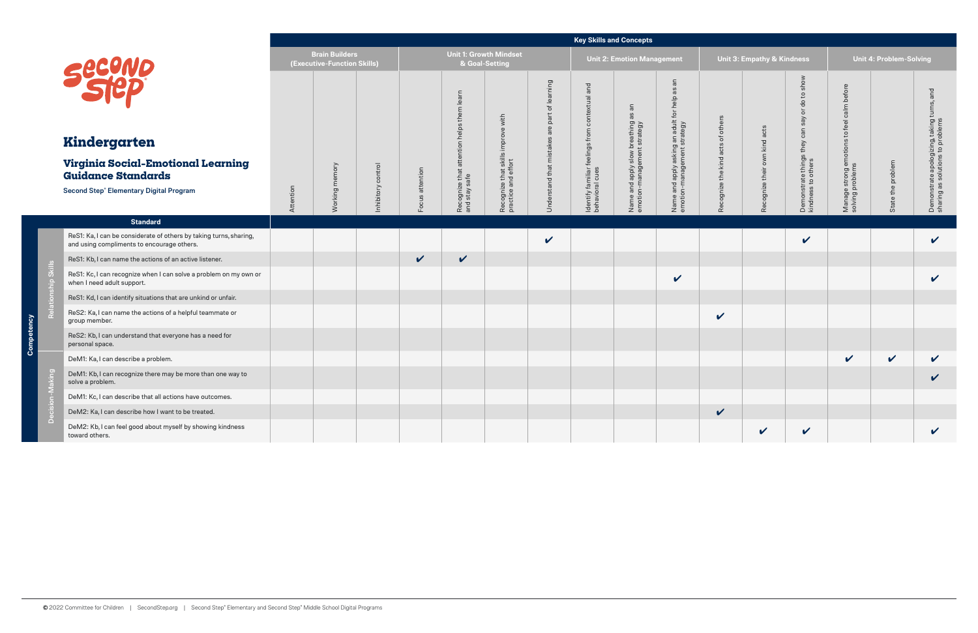|                                                                                                                                             |           |                                                      |                       |                    |                                                                     |                                                              |                                                                                          |                                                                      | <b>Key Skills and Concepts</b>                                                               |                                                                                                           |                                        |                                       |                                                                                                                                    |                                                                                      |                                |                                                                                   |
|---------------------------------------------------------------------------------------------------------------------------------------------|-----------|------------------------------------------------------|-----------------------|--------------------|---------------------------------------------------------------------|--------------------------------------------------------------|------------------------------------------------------------------------------------------|----------------------------------------------------------------------|----------------------------------------------------------------------------------------------|-----------------------------------------------------------------------------------------------------------|----------------------------------------|---------------------------------------|------------------------------------------------------------------------------------------------------------------------------------|--------------------------------------------------------------------------------------|--------------------------------|-----------------------------------------------------------------------------------|
|                                                                                                                                             |           | <b>Brain Builders</b><br>(Executive-Function Skills) |                       |                    |                                                                     | <b>Unit 1: Growth Mindset</b><br>& Goal-Setting              |                                                                                          |                                                                      | <b>Unit 2: Emotion Management</b>                                                            |                                                                                                           |                                        | <b>Unit 3: Empathy &amp; Kindness</b> |                                                                                                                                    |                                                                                      | <b>Unit 4: Problem-Solving</b> |                                                                                   |
| Secuno<br>Kindergarten<br>Virginia Social-Emotional Learning<br><b>Guidance Standards</b><br><b>Second Step® Elementary Digital Program</b> | Attention | Working memory                                       | control<br>Inhibitory | attention<br>Focus | learn<br>them<br>helps<br>attention<br>Recognize that and stay safe | improve with<br>Recognize that skills<br>practice and effort | learning<br>$\overline{\sigma}$<br>part<br>are<br>$\omega$<br>mistake<br>Understand that | and<br>ldentify familiar feelings from contextual<br>behavioral cues | $\overline{\mathsf{a}}$<br>æ<br>Name and apply slow breathing<br>emotion-management strategy | $\overline{a}$<br>8g<br>asking an adult for help<br>ement strategy<br>Name and apply a<br>emotion-manager | others<br>ð<br>Recognize the kind acts | acts<br>own kind<br>Recognize their   | show<br>$\mathbf{S}$<br>$\rm ^o$<br>$\overleftarrow{\mathrm{o}}$<br>Say<br>can<br>they<br>Demonstrate things<br>kindness to others | before<br>calm<br>feel<br>$\mathtt{S}$<br>Manage strong emotions<br>solving problems | State the problem              | turns, and<br>Demonstrate apologizing, taking<br>sharing as solutions to problems |
| <b>Standard</b>                                                                                                                             |           |                                                      |                       |                    |                                                                     |                                                              |                                                                                          |                                                                      |                                                                                              |                                                                                                           |                                        |                                       |                                                                                                                                    |                                                                                      |                                |                                                                                   |
| ReS1: Ka, I can be considerate of others by taking turns, sharing,<br>and using compliments to encourage others.                            |           |                                                      |                       |                    |                                                                     |                                                              | $\mathbf v$                                                                              |                                                                      |                                                                                              |                                                                                                           |                                        |                                       | $\checkmark$                                                                                                                       |                                                                                      |                                | V                                                                                 |
| ReS1: Kb, I can name the actions of an active listener.                                                                                     |           |                                                      |                       | $\checkmark$       | $\checkmark$                                                        |                                                              |                                                                                          |                                                                      |                                                                                              |                                                                                                           |                                        |                                       |                                                                                                                                    |                                                                                      |                                |                                                                                   |
| ReS1: Kc, I can recognize when I can solve a problem on my own or<br>when I need adult support.                                             |           |                                                      |                       |                    |                                                                     |                                                              |                                                                                          |                                                                      |                                                                                              | $\mathbf v$                                                                                               |                                        |                                       |                                                                                                                                    |                                                                                      |                                | V                                                                                 |
| ReS1: Kd, I can identify situations that are unkind or unfair.                                                                              |           |                                                      |                       |                    |                                                                     |                                                              |                                                                                          |                                                                      |                                                                                              |                                                                                                           |                                        |                                       |                                                                                                                                    |                                                                                      |                                |                                                                                   |
| ReS2: Ka, I can name the actions of a helpful teammate or<br>group member.                                                                  |           |                                                      |                       |                    |                                                                     |                                                              |                                                                                          |                                                                      |                                                                                              |                                                                                                           | $\mathbf v$                            |                                       |                                                                                                                                    |                                                                                      |                                |                                                                                   |
| ReS2: Kb, I can understand that everyone has a need for<br>personal space.                                                                  |           |                                                      |                       |                    |                                                                     |                                                              |                                                                                          |                                                                      |                                                                                              |                                                                                                           |                                        |                                       |                                                                                                                                    |                                                                                      |                                |                                                                                   |
| DeM1: Ka, I can describe a problem.                                                                                                         |           |                                                      |                       |                    |                                                                     |                                                              |                                                                                          |                                                                      |                                                                                              |                                                                                                           |                                        |                                       |                                                                                                                                    | $\checkmark$                                                                         | $\checkmark$                   | V                                                                                 |
| DeM1: Kb, I can recognize there may be more than one way to<br>solve a problem.                                                             |           |                                                      |                       |                    |                                                                     |                                                              |                                                                                          |                                                                      |                                                                                              |                                                                                                           |                                        |                                       |                                                                                                                                    |                                                                                      |                                | V                                                                                 |
| DeM1: Kc, I can describe that all actions have outcomes.                                                                                    |           |                                                      |                       |                    |                                                                     |                                                              |                                                                                          |                                                                      |                                                                                              |                                                                                                           |                                        |                                       |                                                                                                                                    |                                                                                      |                                |                                                                                   |
| DeM2: Ka, I can describe how I want to be treated.                                                                                          |           |                                                      |                       |                    |                                                                     |                                                              |                                                                                          |                                                                      |                                                                                              |                                                                                                           | $\checkmark$                           |                                       |                                                                                                                                    |                                                                                      |                                |                                                                                   |
| DeM2: Kb, I can feel good about myself by showing kindness<br>toward others.                                                                |           |                                                      |                       |                    |                                                                     |                                                              |                                                                                          |                                                                      |                                                                                              |                                                                                                           |                                        | $\mathbf v$                           | $\checkmark$                                                                                                                       |                                                                                      |                                | V                                                                                 |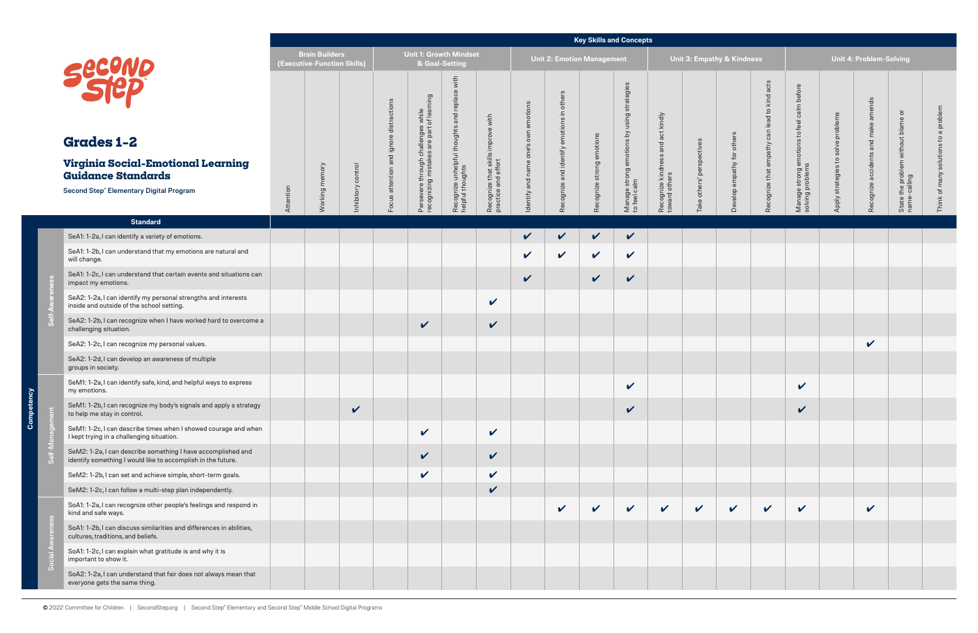|                                                                                                                                                  |           |                                                      |                   |                                                                  |                                                                                 |                                                                      |                                                           |                                         |                                                          |                            | <b>Key Skills and Concepts</b>                             |                                                    |                           |                                       |                                                        |                                                                           |                                                            |                                           |                                                                                      |                 |
|--------------------------------------------------------------------------------------------------------------------------------------------------|-----------|------------------------------------------------------|-------------------|------------------------------------------------------------------|---------------------------------------------------------------------------------|----------------------------------------------------------------------|-----------------------------------------------------------|-----------------------------------------|----------------------------------------------------------|----------------------------|------------------------------------------------------------|----------------------------------------------------|---------------------------|---------------------------------------|--------------------------------------------------------|---------------------------------------------------------------------------|------------------------------------------------------------|-------------------------------------------|--------------------------------------------------------------------------------------|-----------------|
|                                                                                                                                                  |           | <b>Brain Builders</b><br>(Executive-Function Skills) |                   |                                                                  | & Goal-Setting                                                                  | <b>Unit 1: Growth Mindset</b>                                        |                                                           |                                         |                                                          | Unit 2: Emotion Management |                                                            |                                                    |                           | <b>Unit 3: Empathy &amp; Kindness</b> |                                                        |                                                                           |                                                            | <b>Unit 4: Problem-Solving</b>            |                                                                                      |                 |
| Second<br><b>Grades 1-2</b><br>Virginia Social-Emotional Learning<br><b>Guidance Standards</b><br><b>Second Step® Elementary Digital Program</b> | Attention | Working memory                                       | nhibitory control | S<br>ction<br>distra<br>$\Omega$<br>iq ign<br>attention<br>Focus | Persevere through challenges while<br>recognizing mistakes are part of learning | with<br>Recognize unhelpful thoughts and replace<br>helpful thoughts | Recognize that skills improve with<br>practice and effort | one's own emotions<br>Identify and name | others<br>$\equiv$<br>emotions<br>Recognize and identify | Recognize strong emotions  | Manage strong emotions by using strategies<br>to feel calm | Recognize kindness and act kindly<br>toward others | Take others' perspectives | others<br>for<br>Develop empathy      | d to kind acts<br>can lea<br>empathy<br>Recognize that | emotions to feel calm before<br>is<br>Manage strong e<br>solving problems | problems<br>solve<br>$\mathtt{S}$<br>strategies<br>Apply : | amends<br>and make<br>Recognize accidents | $\overline{\sigma}$<br>without blame<br>problem \<br>lling<br>State the<br>name-call | problem<br>many |
| <b>Standard</b>                                                                                                                                  |           |                                                      |                   |                                                                  |                                                                                 |                                                                      |                                                           |                                         |                                                          |                            |                                                            |                                                    |                           |                                       |                                                        |                                                                           |                                                            |                                           |                                                                                      |                 |
| SeA1: 1-2a, I can identify a variety of emotions.                                                                                                |           |                                                      |                   |                                                                  |                                                                                 |                                                                      |                                                           | $\checkmark$                            | $\mathbf v$                                              | V                          | $\checkmark$                                               |                                                    |                           |                                       |                                                        |                                                                           |                                                            |                                           |                                                                                      |                 |
| SeA1: 1-2b, I can understand that my emotions are natural and<br>will change.                                                                    |           |                                                      |                   |                                                                  |                                                                                 |                                                                      |                                                           | $\checkmark$                            | $\checkmark$                                             | V                          | $\checkmark$                                               |                                                    |                           |                                       |                                                        |                                                                           |                                                            |                                           |                                                                                      |                 |
| SeA1: 1-2c, I can understand that certain events and situations can<br>impact my emotions.                                                       |           |                                                      |                   |                                                                  |                                                                                 |                                                                      |                                                           | $\checkmark$                            |                                                          | $\checkmark$               | $\checkmark$                                               |                                                    |                           |                                       |                                                        |                                                                           |                                                            |                                           |                                                                                      |                 |
| SeA2: 1-2a, I can identify my personal strengths and interests<br>inside and outside of the school setting.                                      |           |                                                      |                   |                                                                  |                                                                                 |                                                                      | $\checkmark$                                              |                                         |                                                          |                            |                                                            |                                                    |                           |                                       |                                                        |                                                                           |                                                            |                                           |                                                                                      |                 |
| SeA2: 1-2b, I can recognize when I have worked hard to overcome a<br>challenging situation.                                                      |           |                                                      |                   |                                                                  | $\checkmark$                                                                    |                                                                      | $\checkmark$                                              |                                         |                                                          |                            |                                                            |                                                    |                           |                                       |                                                        |                                                                           |                                                            |                                           |                                                                                      |                 |
| SeA2: 1-2c, I can recognize my personal values.                                                                                                  |           |                                                      |                   |                                                                  |                                                                                 |                                                                      |                                                           |                                         |                                                          |                            |                                                            |                                                    |                           |                                       |                                                        |                                                                           |                                                            | $\checkmark$                              |                                                                                      |                 |
| SeA2: 1-2d, I can develop an awareness of multiple<br>groups in society.                                                                         |           |                                                      |                   |                                                                  |                                                                                 |                                                                      |                                                           |                                         |                                                          |                            |                                                            |                                                    |                           |                                       |                                                        |                                                                           |                                                            |                                           |                                                                                      |                 |
| SeM1: 1-2a, I can identify safe, kind, and helpful ways to express<br>my emotions.                                                               |           |                                                      |                   |                                                                  |                                                                                 |                                                                      |                                                           |                                         |                                                          |                            | $\checkmark$                                               |                                                    |                           |                                       |                                                        | $\boldsymbol{\mathcal{U}}$                                                |                                                            |                                           |                                                                                      |                 |
| SeM1: 1-2b, I can recognize my body's signals and apply a strategy<br>to help me stay in control.                                                |           |                                                      | $\checkmark$      |                                                                  |                                                                                 |                                                                      |                                                           |                                         |                                                          |                            | $\checkmark$                                               |                                                    |                           |                                       |                                                        | $\checkmark$                                                              |                                                            |                                           |                                                                                      |                 |
| SeM1: 1-2c, I can describe times when I showed courage and when<br>I kept trying in a challenging situation.                                     |           |                                                      |                   |                                                                  | $\checkmark$                                                                    |                                                                      | $\checkmark$                                              |                                         |                                                          |                            |                                                            |                                                    |                           |                                       |                                                        |                                                                           |                                                            |                                           |                                                                                      |                 |
| SeM2: 1-2a, I can describe something I have accomplished and<br>identify something I would like to accomplish in the future.                     |           |                                                      |                   |                                                                  | $\mathbf{v}$                                                                    |                                                                      | $\boldsymbol{\mathcal{U}}$                                |                                         |                                                          |                            |                                                            |                                                    |                           |                                       |                                                        |                                                                           |                                                            |                                           |                                                                                      |                 |
| SeM2: 1-2b, I can set and achieve simple, short-term goals.                                                                                      |           |                                                      |                   |                                                                  | $\checkmark$                                                                    |                                                                      | $\checkmark$                                              |                                         |                                                          |                            |                                                            |                                                    |                           |                                       |                                                        |                                                                           |                                                            |                                           |                                                                                      |                 |
| SeM2: 1-2c, I can follow a multi-step plan independently.                                                                                        |           |                                                      |                   |                                                                  |                                                                                 |                                                                      | $\checkmark$                                              |                                         |                                                          |                            |                                                            |                                                    |                           |                                       |                                                        |                                                                           |                                                            |                                           |                                                                                      |                 |
| SoA1: 1-2a, I can recognize other people's feelings and respond in<br>kind and safe ways.                                                        |           |                                                      |                   |                                                                  |                                                                                 |                                                                      |                                                           |                                         | $\checkmark$                                             | $\boldsymbol{\mathcal{U}}$ | $\checkmark$                                               | $\checkmark$                                       | $\checkmark$              | $\checkmark$                          | $\checkmark$                                           | $\checkmark$                                                              |                                                            | $\checkmark$                              |                                                                                      |                 |
| SoA1: 1-2b, I can discuss similarities and differences in abilities,<br>cultures, traditions, and beliefs.                                       |           |                                                      |                   |                                                                  |                                                                                 |                                                                      |                                                           |                                         |                                                          |                            |                                                            |                                                    |                           |                                       |                                                        |                                                                           |                                                            |                                           |                                                                                      |                 |
| SoA1: 1-2c, I can explain what gratitude is and why it is<br>important to show it.                                                               |           |                                                      |                   |                                                                  |                                                                                 |                                                                      |                                                           |                                         |                                                          |                            |                                                            |                                                    |                           |                                       |                                                        |                                                                           |                                                            |                                           |                                                                                      |                 |
| SoA2: 1-2a, I can understand that fair does not always mean that<br>everyone gets the same thing.                                                |           |                                                      |                   |                                                                  |                                                                                 |                                                                      |                                                           |                                         |                                                          |                            |                                                            |                                                    |                           |                                       |                                                        |                                                                           |                                                            |                                           |                                                                                      |                 |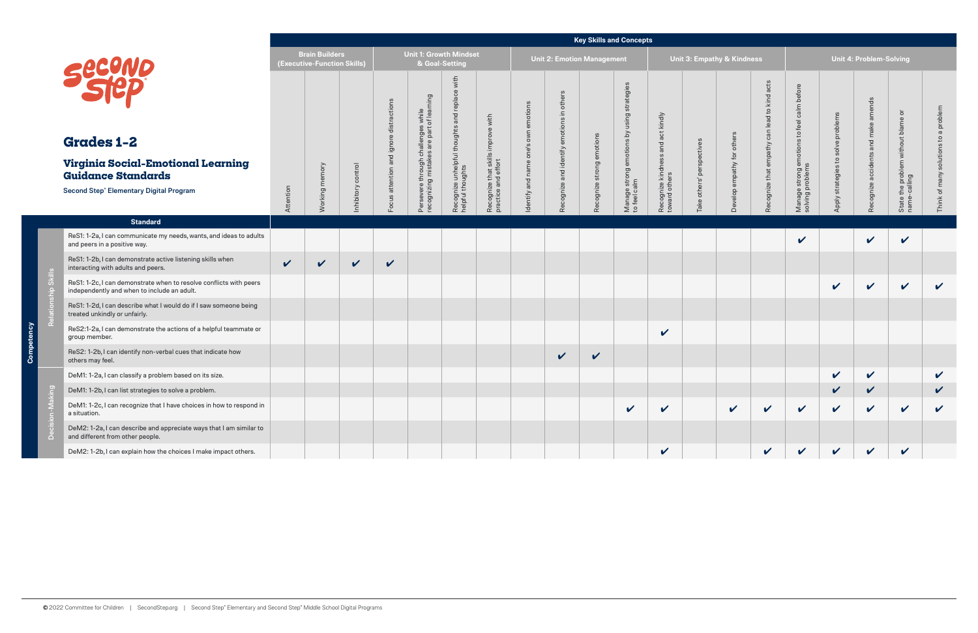|                                                                                                                   |              |                                                      |              |                 |                                                                            |                                                  |                                                           |                 |                                   |                           | <b>Key Skills and Concepts</b>            |                                     |                                       |                 |                     |                                     |                                        |                            |                               |                        |
|-------------------------------------------------------------------------------------------------------------------|--------------|------------------------------------------------------|--------------|-----------------|----------------------------------------------------------------------------|--------------------------------------------------|-----------------------------------------------------------|-----------------|-----------------------------------|---------------------------|-------------------------------------------|-------------------------------------|---------------------------------------|-----------------|---------------------|-------------------------------------|----------------------------------------|----------------------------|-------------------------------|------------------------|
|                                                                                                                   |              | <b>Brain Builders</b><br>(Executive-Function Skills) |              |                 | <b>Unit 1: Growth Mindset</b><br>& Goal-Setting                            |                                                  |                                                           |                 | <b>Unit 2: Emotion Management</b> |                           |                                           |                                     | <b>Unit 3: Empathy &amp; Kindness</b> |                 |                     |                                     |                                        | Unit 4: Problem-Solving    |                               |                        |
| Secono                                                                                                            |              |                                                      |              | distractions    | $\overline{g}$                                                             | with<br>replace<br>and                           |                                                           | own emotions    | others<br>$\equiv$<br>emotions    |                           | using strategies                          | act kindly                          |                                       |                 | lead to kind acts   | feel calm before                    | solve problems                         | amends<br>make             | $\overline{\sigma}$           | problem<br>ω           |
| <b>Grades 1-2</b>                                                                                                 |              |                                                      |              | and ignore      |                                                                            |                                                  |                                                           | one's           |                                   |                           |                                           | and                                 |                                       | others          | can                 | $\mathtt{S}$                        |                                        |                            | without blame                 | S,                     |
| Virginia Social-Emotional Learning<br><b>Guidance Standards</b>                                                   |              |                                                      | control      |                 | Persevere through challenges while<br>recognizing mistakes are part of lea | Recognize unhelpful thoughts<br>helpful thoughts | Recognize that skills improve with<br>practice and effort | entify and name | and identify                      | Recognize strong emotions | Manage strong emotions by<br>to feel calm | Recognize kindness<br>toward others | others' perspectiv                    | for             | ognize that empathy | emotions t<br>is                    | $\mathbf{S}$<br>$\omega$<br>strategies | Recognize accidents and    | problem \<br>ling             | $\overline{5}$<br>many |
| <b>Second Step® Elementary Digital Program</b>                                                                    | Attention    | Working memory                                       | Inhibitory   | Focus attention |                                                                            |                                                  |                                                           |                 | Recognize                         |                           |                                           |                                     | Take                                  | Develop empathy | Ō                   | Manage strong e<br>solving problems | Apply                                  |                            | the<br>-cal<br>State<br>name- |                        |
| <b>Standard</b>                                                                                                   |              |                                                      |              |                 |                                                                            |                                                  |                                                           |                 |                                   |                           |                                           |                                     |                                       |                 |                     |                                     |                                        |                            |                               |                        |
| ReS1: 1-2a, I can communicate my needs, wants, and ideas to adults<br>and peers in a positive way.                |              |                                                      |              |                 |                                                                            |                                                  |                                                           |                 |                                   |                           |                                           |                                     |                                       |                 |                     | V                                   |                                        | $\checkmark$               | $\checkmark$                  |                        |
| ReS1: 1-2b, I can demonstrate active listening skills when<br>interacting with adults and peers.                  | $\checkmark$ | $\checkmark$                                         | $\checkmark$ | $\checkmark$    |                                                                            |                                                  |                                                           |                 |                                   |                           |                                           |                                     |                                       |                 |                     |                                     |                                        |                            |                               |                        |
| ReS1: 1-2c, I can demonstrate when to resolve conflicts with peers<br>independently and when to include an adult. |              |                                                      |              |                 |                                                                            |                                                  |                                                           |                 |                                   |                           |                                           |                                     |                                       |                 |                     |                                     | $\boldsymbol{\mathcal{U}}$             | $\checkmark$               | $\checkmark$                  | $\mathbf v$            |
| ReS1: 1-2d, I can describe what I would do if I saw someone being<br>treated unkindly or unfairly.                |              |                                                      |              |                 |                                                                            |                                                  |                                                           |                 |                                   |                           |                                           |                                     |                                       |                 |                     |                                     |                                        |                            |                               |                        |
| ReS2:1-2a, I can demonstrate the actions of a helpful teammate or<br>group member.                                |              |                                                      |              |                 |                                                                            |                                                  |                                                           |                 |                                   |                           |                                           | $\checkmark$                        |                                       |                 |                     |                                     |                                        |                            |                               |                        |
| ReS2: 1-2b, I can identify non-verbal cues that indicate how<br>others may feel.                                  |              |                                                      |              |                 |                                                                            |                                                  |                                                           |                 | $\checkmark$                      | $\checkmark$              |                                           |                                     |                                       |                 |                     |                                     |                                        |                            |                               |                        |
| DeM1: 1-2a, I can classify a problem based on its size.                                                           |              |                                                      |              |                 |                                                                            |                                                  |                                                           |                 |                                   |                           |                                           |                                     |                                       |                 |                     |                                     | V                                      | $\boldsymbol{\mathcal{U}}$ |                               | $\checkmark$           |
| DeM1: 1-2b, I can list strategies to solve a problem.                                                             |              |                                                      |              |                 |                                                                            |                                                  |                                                           |                 |                                   |                           |                                           |                                     |                                       |                 |                     |                                     |                                        | V                          |                               | V                      |
| DeM1: 1-2c, I can recognize that I have choices in how to respond in<br>a situation.                              |              |                                                      |              |                 |                                                                            |                                                  |                                                           |                 |                                   |                           | V                                         | $\checkmark$                        |                                       | $\checkmark$    | $\mathbf v$         | $\checkmark$                        | $\checkmark$                           | $\checkmark$               | $\checkmark$                  | $\checkmark$           |
| DeM2: 1-2a, I can describe and appreciate ways that I am similar to<br>and different from other people.           |              |                                                      |              |                 |                                                                            |                                                  |                                                           |                 |                                   |                           |                                           |                                     |                                       |                 |                     |                                     |                                        |                            |                               |                        |
| DeM2: 1-2b, I can explain how the choices I make impact others.                                                   |              |                                                      |              |                 |                                                                            |                                                  |                                                           |                 |                                   |                           |                                           | $\checkmark$                        |                                       |                 | V                   | $\checkmark$                        | $\checkmark$                           | $\checkmark$               | $\mathbf v$                   |                        |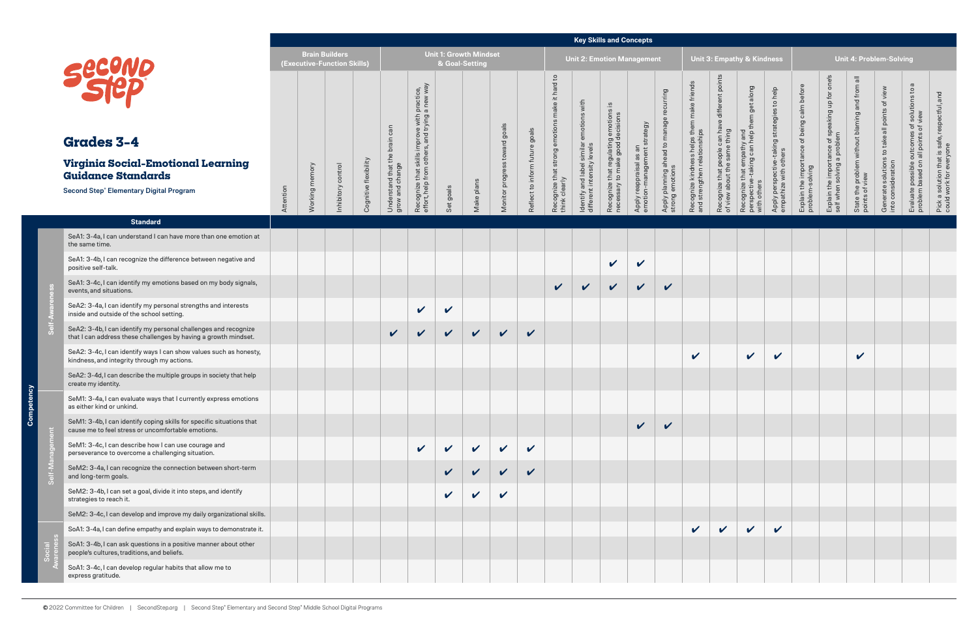|                                                                                                                                    |           |                                                      |                    |                       |                                        |                                                                                                |                            |                                                 |                               |                                |                                                             |                                                                        | <b>Key Skills and Concepts</b>                                         |                                                        |                                                                   |                                                                            |                                                                                              |                                                                                         |                                                                                      |                                                                |                                                                                |                                                                  |                                                  |                                                                                                         |                                                                             |
|------------------------------------------------------------------------------------------------------------------------------------|-----------|------------------------------------------------------|--------------------|-----------------------|----------------------------------------|------------------------------------------------------------------------------------------------|----------------------------|-------------------------------------------------|-------------------------------|--------------------------------|-------------------------------------------------------------|------------------------------------------------------------------------|------------------------------------------------------------------------|--------------------------------------------------------|-------------------------------------------------------------------|----------------------------------------------------------------------------|----------------------------------------------------------------------------------------------|-----------------------------------------------------------------------------------------|--------------------------------------------------------------------------------------|----------------------------------------------------------------|--------------------------------------------------------------------------------|------------------------------------------------------------------|--------------------------------------------------|---------------------------------------------------------------------------------------------------------|-----------------------------------------------------------------------------|
|                                                                                                                                    |           | <b>Brain Builders</b><br>(Executive-Function Skills) |                    |                       |                                        |                                                                                                |                            | <b>Unit 1: Growth Mindset</b><br>& Goal-Setting |                               |                                |                                                             |                                                                        |                                                                        | <b>Unit 2: Emotion Management</b>                      |                                                                   |                                                                            |                                                                                              | <b>Unit 3: Empathy &amp; Kindness</b>                                                   |                                                                                      |                                                                |                                                                                |                                                                  | <b>Unit 4: Problem-Solving</b>                   |                                                                                                         |                                                                             |
| <b>Grades 3-4</b>                                                                                                                  |           |                                                      |                    |                       | can<br>brain                           | Recognize that skills improve with practice,<br>effort, help from others, and trying a new way |                            |                                                 | Monitor progress toward goals | Reflect to inform future goals | it hard to<br>make<br>ဖ<br>$\overline{5}$<br>moti<br>strong | ldentify and label similar emotions with<br>different intensity levels | Recognize that regulating emotions<br>necessary to make good decisions | Apply reappraisal as an<br>emotion-management strategy | ing<br>curri<br>Apply planning ahead to manage<br>strong emotions | Recognize kindness helps them make friends<br>and strengthen relationships | different poir<br>$\bullet$<br>Recognize that people can hav<br>of view about the same thing | Recognize that empathy and<br>perspective-taking can help them get along<br>with others | help<br>$\mathtt{S}$<br>Apply perspective-taking strategies<br>empathize with others | Explain the importance of being calm before<br>problem-solving | Explain the importance of speaking up for one's<br>self when solving a problem | State the problem without blaming and from all<br>points of view | view<br>$\overline{\sigma}$<br>points            | $\sigma$<br>s of solutions to a<br>of view<br>Evaluate possible outcomes<br>problem based on all points | and<br>Pick a solution that is safe, respectful,<br>could work for everyone |
| <b>Virginia Social-Emotional Learning</b><br><b>Guidance Standards</b>                                                             |           | memory                                               |                    |                       |                                        |                                                                                                |                            |                                                 |                               |                                |                                                             |                                                                        |                                                                        |                                                        |                                                                   |                                                                            |                                                                                              |                                                                                         |                                                                                      |                                                                |                                                                                |                                                                  |                                                  |                                                                                                         |                                                                             |
| Second Step® Elementary Digital Program                                                                                            | Attention | Working <b>I</b>                                     | inhibitory control | Cognitive flexibility | Understand that the<br>grow and change |                                                                                                | Set goals                  | Make plans                                      |                               |                                | Recognize that s<br>think clearly                           |                                                                        |                                                                        |                                                        |                                                                   |                                                                            |                                                                                              |                                                                                         |                                                                                      |                                                                |                                                                                |                                                                  | Generate solutions to take<br>into consideration |                                                                                                         |                                                                             |
| <b>Standard</b>                                                                                                                    |           |                                                      |                    |                       |                                        |                                                                                                |                            |                                                 |                               |                                |                                                             |                                                                        |                                                                        |                                                        |                                                                   |                                                                            |                                                                                              |                                                                                         |                                                                                      |                                                                |                                                                                |                                                                  |                                                  |                                                                                                         |                                                                             |
| SeA1: 3-4a, I can understand I can have more than one emotion at<br>the same time.                                                 |           |                                                      |                    |                       |                                        |                                                                                                |                            |                                                 |                               |                                |                                                             |                                                                        |                                                                        |                                                        |                                                                   |                                                                            |                                                                                              |                                                                                         |                                                                                      |                                                                |                                                                                |                                                                  |                                                  |                                                                                                         |                                                                             |
| SeA1: 3-4b, I can recognize the difference between negative and<br>positive self-talk.                                             |           |                                                      |                    |                       |                                        |                                                                                                |                            |                                                 |                               |                                |                                                             |                                                                        | $\checkmark$                                                           | $\checkmark$                                           |                                                                   |                                                                            |                                                                                              |                                                                                         |                                                                                      |                                                                |                                                                                |                                                                  |                                                  |                                                                                                         |                                                                             |
| SeA1: 3-4c, I can identify my emotions based on my body signals,<br>events, and situations.                                        |           |                                                      |                    |                       |                                        |                                                                                                |                            |                                                 |                               |                                | $\vee$                                                      | $\checkmark$                                                           | $\vee$                                                                 | $\vee$                                                 | $\checkmark$                                                      |                                                                            |                                                                                              |                                                                                         |                                                                                      |                                                                |                                                                                |                                                                  |                                                  |                                                                                                         |                                                                             |
| SeA2: 3-4a, I can identify my personal strengths and interests<br>inside and outside of the school setting.                        |           |                                                      |                    |                       |                                        | $\mathbf v$                                                                                    | $\checkmark$               |                                                 |                               |                                |                                                             |                                                                        |                                                                        |                                                        |                                                                   |                                                                            |                                                                                              |                                                                                         |                                                                                      |                                                                |                                                                                |                                                                  |                                                  |                                                                                                         |                                                                             |
| SeA2: 3-4b, I can identify my personal challenges and recognize<br>that I can address these challenges by having a growth mindset. |           |                                                      |                    |                       | $\checkmark$                           | $\sqrt{2}$                                                                                     | $\mathbf{v}$               | $\checkmark$                                    | $\sqrt{2}$                    | $\checkmark$                   |                                                             |                                                                        |                                                                        |                                                        |                                                                   |                                                                            |                                                                                              |                                                                                         |                                                                                      |                                                                |                                                                                |                                                                  |                                                  |                                                                                                         |                                                                             |
| SeA2: 3-4c, I can identify ways I can show values such as honesty,<br>kindness, and integrity through my actions.                  |           |                                                      |                    |                       |                                        |                                                                                                |                            |                                                 |                               |                                |                                                             |                                                                        |                                                                        |                                                        |                                                                   | V                                                                          |                                                                                              | $\checkmark$                                                                            | V                                                                                    |                                                                |                                                                                | V                                                                |                                                  |                                                                                                         |                                                                             |
| SeA2: 3-4d, I can describe the multiple groups in society that help<br>create my identity.                                         |           |                                                      |                    |                       |                                        |                                                                                                |                            |                                                 |                               |                                |                                                             |                                                                        |                                                                        |                                                        |                                                                   |                                                                            |                                                                                              |                                                                                         |                                                                                      |                                                                |                                                                                |                                                                  |                                                  |                                                                                                         |                                                                             |
| SeM1: 3-4a, I can evaluate ways that I currently express emotions<br>as either kind or unkind.                                     |           |                                                      |                    |                       |                                        |                                                                                                |                            |                                                 |                               |                                |                                                             |                                                                        |                                                                        |                                                        |                                                                   |                                                                            |                                                                                              |                                                                                         |                                                                                      |                                                                |                                                                                |                                                                  |                                                  |                                                                                                         |                                                                             |
| SeM1: 3-4b, I can identify coping skills for specific situations that<br>cause me to feel stress or uncomfortable emotions.        |           |                                                      |                    |                       |                                        |                                                                                                |                            |                                                 |                               |                                |                                                             |                                                                        |                                                                        | $\vee$                                                 | $\checkmark$                                                      |                                                                            |                                                                                              |                                                                                         |                                                                                      |                                                                |                                                                                |                                                                  |                                                  |                                                                                                         |                                                                             |
| SeM1: 3-4c, I can describe how I can use courage and<br>perseverance to overcome a challenging situation.                          |           |                                                      |                    |                       |                                        | $\mathbf{v}$                                                                                   | $\sqrt{2}$                 | $\checkmark$                                    | $\sqrt{2}$                    | $\boldsymbol{\mathcal{U}}$     |                                                             |                                                                        |                                                                        |                                                        |                                                                   |                                                                            |                                                                                              |                                                                                         |                                                                                      |                                                                |                                                                                |                                                                  |                                                  |                                                                                                         |                                                                             |
| SeM2: 3-4a, I can recognize the connection between short-term<br>and long-term goals.                                              |           |                                                      |                    |                       |                                        |                                                                                                |                            | $\vee$                                          | $\checkmark$                  | $\checkmark$                   |                                                             |                                                                        |                                                                        |                                                        |                                                                   |                                                                            |                                                                                              |                                                                                         |                                                                                      |                                                                |                                                                                |                                                                  |                                                  |                                                                                                         |                                                                             |
| SeM2: 3-4b, I can set a goal, divide it into steps, and identify<br>strategies to reach it.                                        |           |                                                      |                    |                       |                                        |                                                                                                | $\boldsymbol{\mathcal{U}}$ | $\checkmark$                                    | $\checkmark$                  |                                |                                                             |                                                                        |                                                                        |                                                        |                                                                   |                                                                            |                                                                                              |                                                                                         |                                                                                      |                                                                |                                                                                |                                                                  |                                                  |                                                                                                         |                                                                             |
| SeM2: 3-4c, I can develop and improve my daily organizational skills.                                                              |           |                                                      |                    |                       |                                        |                                                                                                |                            |                                                 |                               |                                |                                                             |                                                                        |                                                                        |                                                        |                                                                   |                                                                            |                                                                                              |                                                                                         |                                                                                      |                                                                |                                                                                |                                                                  |                                                  |                                                                                                         |                                                                             |
| SoA1: 3-4a, I can define empathy and explain ways to demonstrate it.                                                               |           |                                                      |                    |                       |                                        |                                                                                                |                            |                                                 |                               |                                |                                                             |                                                                        |                                                                        |                                                        |                                                                   | $\checkmark$                                                               | $\checkmark$                                                                                 | $\checkmark$                                                                            | $\checkmark$                                                                         |                                                                |                                                                                |                                                                  |                                                  |                                                                                                         |                                                                             |
| SoA1: 3-4b, I can ask questions in a positive manner about other<br>people's cultures, traditions, and beliefs.                    |           |                                                      |                    |                       |                                        |                                                                                                |                            |                                                 |                               |                                |                                                             |                                                                        |                                                                        |                                                        |                                                                   |                                                                            |                                                                                              |                                                                                         |                                                                                      |                                                                |                                                                                |                                                                  |                                                  |                                                                                                         |                                                                             |
| SoA1: 3-4c, I can develop regular habits that allow me to<br>express gratitude.                                                    |           |                                                      |                    |                       |                                        |                                                                                                |                            |                                                 |                               |                                |                                                             |                                                                        |                                                                        |                                                        |                                                                   |                                                                            |                                                                                              |                                                                                         |                                                                                      |                                                                |                                                                                |                                                                  |                                                  |                                                                                                         |                                                                             |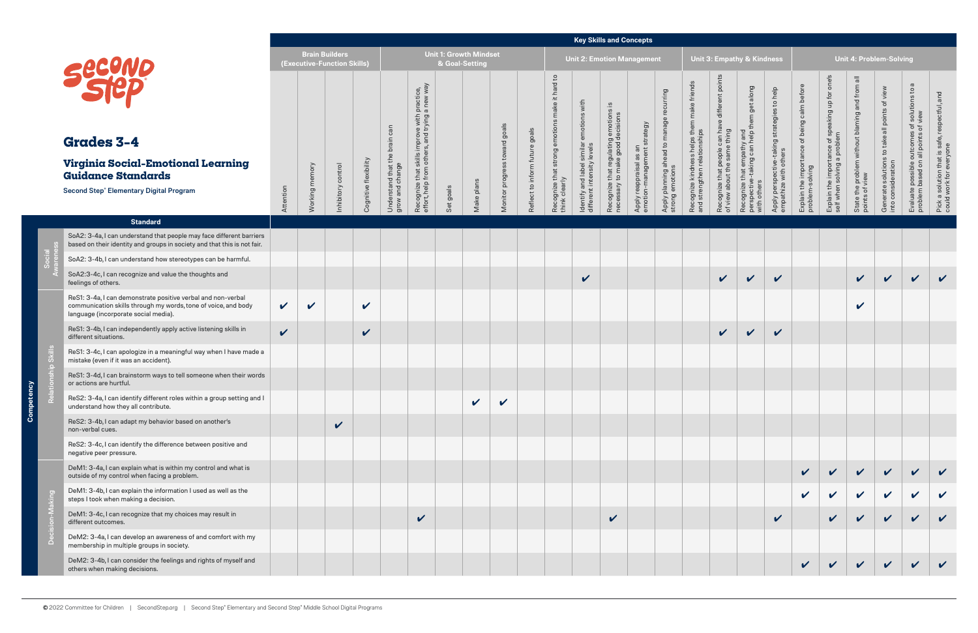|        |                                                                                                                                                                        |                            |                            |                                    |                       |                                       |                                                                                                       |                                                 |            |                               |                                |                                                        | <b>Key Skills and Concepts</b>                                         |                                                                           |                                                 |                                                                |                                                                            |                                                                                               |                                                                                         |                                                                                     |                                                                |                                                                                   |                                                                  |                                                                                           |                                                                                                         |                                                                                 |
|--------|------------------------------------------------------------------------------------------------------------------------------------------------------------------------|----------------------------|----------------------------|------------------------------------|-----------------------|---------------------------------------|-------------------------------------------------------------------------------------------------------|-------------------------------------------------|------------|-------------------------------|--------------------------------|--------------------------------------------------------|------------------------------------------------------------------------|---------------------------------------------------------------------------|-------------------------------------------------|----------------------------------------------------------------|----------------------------------------------------------------------------|-----------------------------------------------------------------------------------------------|-----------------------------------------------------------------------------------------|-------------------------------------------------------------------------------------|----------------------------------------------------------------|-----------------------------------------------------------------------------------|------------------------------------------------------------------|-------------------------------------------------------------------------------------------|---------------------------------------------------------------------------------------------------------|---------------------------------------------------------------------------------|
|        |                                                                                                                                                                        |                            | <b>Brain Builders</b>      | <b>(Executive-Function Skills)</b> |                       |                                       |                                                                                                       | <b>Unit 1: Growth Mindset</b><br>& Goal-Setting |            |                               |                                |                                                        |                                                                        |                                                                           | <b>Unit 2: Emotion Management</b>               |                                                                |                                                                            |                                                                                               | Unit 3: Empathy & Kindness                                                              |                                                                                     |                                                                |                                                                                   |                                                                  | <b>Unit 4: Problem-Solving</b>                                                            |                                                                                                         |                                                                                 |
|        | <b>Grades 3-4</b><br>Virginia Social-Emotional Learning                                                                                                                |                            |                            |                                    |                       | can<br>brain<br>the                   | Recognize that skills improve with practice,<br>effort, help from others, and trying a new way<br>oth |                                                 |            | Monitor progress toward goals | Reflect to inform future goals | $\mathsf{c}$<br>hard<br>$\pm$<br>make<br>ons<br>emotio | ldentify and label similar emotions with<br>different intensity levels | Recognize that regulating emotions is<br>necessary to make good decisions | strategy                                        | recurring<br>Apply planning ahead to manage<br>strong emotions | Recognize kindness helps them make friends<br>and strengthen relationships | poir<br>different<br>$\circ$<br>Recognize that people can hav<br>of view about the same thing | Recognize that empathy and<br>perspective-taking can help them get along<br>with others | help<br>$\circ$<br>ဖ<br>Apply perspective-taking strategie<br>empathize with others | Explain the importance of being calm before<br>problem-solving | one's<br>Explain the importance of speaking up for<br>self when solving a problem | State the problem without blaming and from all<br>points of view | view<br>$\overline{\sigma}$<br>points<br>Generate solutions to take<br>into consideration | $\sigma$<br>s of solutions to a<br>of view<br>Evaluate possible outcomes<br>problem based on all points | and<br>espectful,<br>Pick a solution that is safe, r<br>could work for everyone |
|        | <b>Guidance Standards</b>                                                                                                                                              |                            |                            |                                    |                       |                                       |                                                                                                       |                                                 |            |                               |                                |                                                        |                                                                        |                                                                           |                                                 |                                                                |                                                                            |                                                                                               |                                                                                         |                                                                                     |                                                                |                                                                                   |                                                                  |                                                                                           |                                                                                                         |                                                                                 |
|        | <b>Second Step® Elementary Digital Program</b>                                                                                                                         | Attention                  | Working memory             | nhibitory control                  | Cognitive flexibility | Understand that th<br>grow and change |                                                                                                       | Set goals                                       | Make plans |                               |                                | Recognize that strong<br>think clearly                 |                                                                        |                                                                           | Apply reappraisal as an<br>emotion-management s |                                                                |                                                                            |                                                                                               |                                                                                         |                                                                                     |                                                                |                                                                                   |                                                                  |                                                                                           |                                                                                                         |                                                                                 |
|        | <b>Standard</b>                                                                                                                                                        |                            |                            |                                    |                       |                                       |                                                                                                       |                                                 |            |                               |                                |                                                        |                                                                        |                                                                           |                                                 |                                                                |                                                                            |                                                                                               |                                                                                         |                                                                                     |                                                                |                                                                                   |                                                                  |                                                                                           |                                                                                                         |                                                                                 |
|        | SoA2: 3-4a, I can understand that people may face different barriers<br>based on their identity and groups in society and that this is not fair.                       |                            |                            |                                    |                       |                                       |                                                                                                       |                                                 |            |                               |                                |                                                        |                                                                        |                                                                           |                                                 |                                                                |                                                                            |                                                                                               |                                                                                         |                                                                                     |                                                                |                                                                                   |                                                                  |                                                                                           |                                                                                                         |                                                                                 |
|        | SoA2: 3-4b, I can understand how stereotypes can be harmful.                                                                                                           |                            |                            |                                    |                       |                                       |                                                                                                       |                                                 |            |                               |                                |                                                        |                                                                        |                                                                           |                                                 |                                                                |                                                                            |                                                                                               |                                                                                         |                                                                                     |                                                                |                                                                                   |                                                                  |                                                                                           |                                                                                                         |                                                                                 |
|        | SoA2:3-4c, I can recognize and value the thoughts and<br>feelings of others.                                                                                           |                            |                            |                                    |                       |                                       |                                                                                                       |                                                 |            |                               |                                |                                                        | $\checkmark$                                                           |                                                                           |                                                 |                                                                |                                                                            | $\checkmark$                                                                                  | $\checkmark$                                                                            | $\mathbf v$                                                                         |                                                                |                                                                                   | $\sqrt{2}$                                                       | $\mathbf{v}$                                                                              | $\mathbf{v}$                                                                                            | $\mathbf{v}$                                                                    |
|        | ReS1: 3-4a, I can demonstrate positive verbal and non-verbal<br>communication skills through my words, tone of voice, and body<br>language (incorporate social media). | $\checkmark$               | $\boldsymbol{\mathcal{U}}$ |                                    | V                     |                                       |                                                                                                       |                                                 |            |                               |                                |                                                        |                                                                        |                                                                           |                                                 |                                                                |                                                                            |                                                                                               |                                                                                         |                                                                                     |                                                                |                                                                                   | $\boldsymbol{\mathcal{U}}$                                       |                                                                                           |                                                                                                         |                                                                                 |
|        | ReS1: 3-4b, I can independently apply active listening skills in<br>different situations.                                                                              | $\boldsymbol{\mathcal{U}}$ |                            |                                    | $\checkmark$          |                                       |                                                                                                       |                                                 |            |                               |                                |                                                        |                                                                        |                                                                           |                                                 |                                                                |                                                                            | $\checkmark$                                                                                  | $\checkmark$                                                                            | $\checkmark$                                                                        |                                                                |                                                                                   |                                                                  |                                                                                           |                                                                                                         |                                                                                 |
|        | ReS1: 3-4c, I can apologize in a meaningful way when I have made a<br>mistake (even if it was an accident).                                                            |                            |                            |                                    |                       |                                       |                                                                                                       |                                                 |            |                               |                                |                                                        |                                                                        |                                                                           |                                                 |                                                                |                                                                            |                                                                                               |                                                                                         |                                                                                     |                                                                |                                                                                   |                                                                  |                                                                                           |                                                                                                         |                                                                                 |
|        | ReS1: 3-4d, I can brainstorm ways to tell someone when their words<br>or actions are hurtful.                                                                          |                            |                            |                                    |                       |                                       |                                                                                                       |                                                 |            |                               |                                |                                                        |                                                                        |                                                                           |                                                 |                                                                |                                                                            |                                                                                               |                                                                                         |                                                                                     |                                                                |                                                                                   |                                                                  |                                                                                           |                                                                                                         |                                                                                 |
|        | ReS2: 3-4a, I can identify different roles within a group setting and I<br>understand how they all contribute.                                                         |                            |                            |                                    |                       |                                       |                                                                                                       |                                                 | V          | $\boldsymbol{\mathcal{U}}$    |                                |                                                        |                                                                        |                                                                           |                                                 |                                                                |                                                                            |                                                                                               |                                                                                         |                                                                                     |                                                                |                                                                                   |                                                                  |                                                                                           |                                                                                                         |                                                                                 |
|        | ReS2: 3-4b, I can adapt my behavior based on another's<br>non-verbal cues.                                                                                             |                            |                            | $\checkmark$                       |                       |                                       |                                                                                                       |                                                 |            |                               |                                |                                                        |                                                                        |                                                                           |                                                 |                                                                |                                                                            |                                                                                               |                                                                                         |                                                                                     |                                                                |                                                                                   |                                                                  |                                                                                           |                                                                                                         |                                                                                 |
|        | ReS2: 3-4c, I can identify the difference between positive and<br>negative peer pressure.                                                                              |                            |                            |                                    |                       |                                       |                                                                                                       |                                                 |            |                               |                                |                                                        |                                                                        |                                                                           |                                                 |                                                                |                                                                            |                                                                                               |                                                                                         |                                                                                     |                                                                |                                                                                   |                                                                  |                                                                                           |                                                                                                         |                                                                                 |
|        | DeM1: 3-4a, I can explain what is within my control and what is<br>outside of my control when facing a problem.                                                        |                            |                            |                                    |                       |                                       |                                                                                                       |                                                 |            |                               |                                |                                                        |                                                                        |                                                                           |                                                 |                                                                |                                                                            |                                                                                               |                                                                                         |                                                                                     | $\checkmark$                                                   |                                                                                   |                                                                  |                                                                                           |                                                                                                         |                                                                                 |
|        | DeM1: 3-4b, I can explain the information I used as well as the<br>steps I took when making a decision.                                                                |                            |                            |                                    |                       |                                       |                                                                                                       |                                                 |            |                               |                                |                                                        |                                                                        |                                                                           |                                                 |                                                                |                                                                            |                                                                                               |                                                                                         |                                                                                     | $\checkmark$                                                   | $\checkmark$                                                                      | $\sqrt{2}$                                                       | $\mathbf{v}$                                                                              | $\mathbf{v}$                                                                                            | $\checkmark$                                                                    |
|        | DeM1: 3-4c, I can recognize that my choices may result in<br>different outcomes.                                                                                       |                            |                            |                                    |                       |                                       | $\checkmark$                                                                                          |                                                 |            |                               |                                |                                                        |                                                                        | $\checkmark$                                                              |                                                 |                                                                |                                                                            |                                                                                               |                                                                                         | $\checkmark$                                                                        |                                                                | $\mathbf{v}$                                                                      |                                                                  | $\mathbf{v}$                                                                              |                                                                                                         |                                                                                 |
| $\Box$ | DeM2: 3-4a, I can develop an awareness of and comfort with my<br>membership in multiple groups in society.                                                             |                            |                            |                                    |                       |                                       |                                                                                                       |                                                 |            |                               |                                |                                                        |                                                                        |                                                                           |                                                 |                                                                |                                                                            |                                                                                               |                                                                                         |                                                                                     |                                                                |                                                                                   |                                                                  |                                                                                           |                                                                                                         |                                                                                 |
|        | DeM2: 3-4b, I can consider the feelings and rights of myself and<br>others when making decisions.                                                                      |                            |                            |                                    |                       |                                       |                                                                                                       |                                                 |            |                               |                                |                                                        |                                                                        |                                                                           |                                                 |                                                                |                                                                            |                                                                                               |                                                                                         |                                                                                     | $\checkmark$                                                   | $\checkmark$                                                                      | $\vee$                                                           | $\vee$                                                                                    | $\mathbf{v}$                                                                                            |                                                                                 |

ာဝ

<u>ડ</u>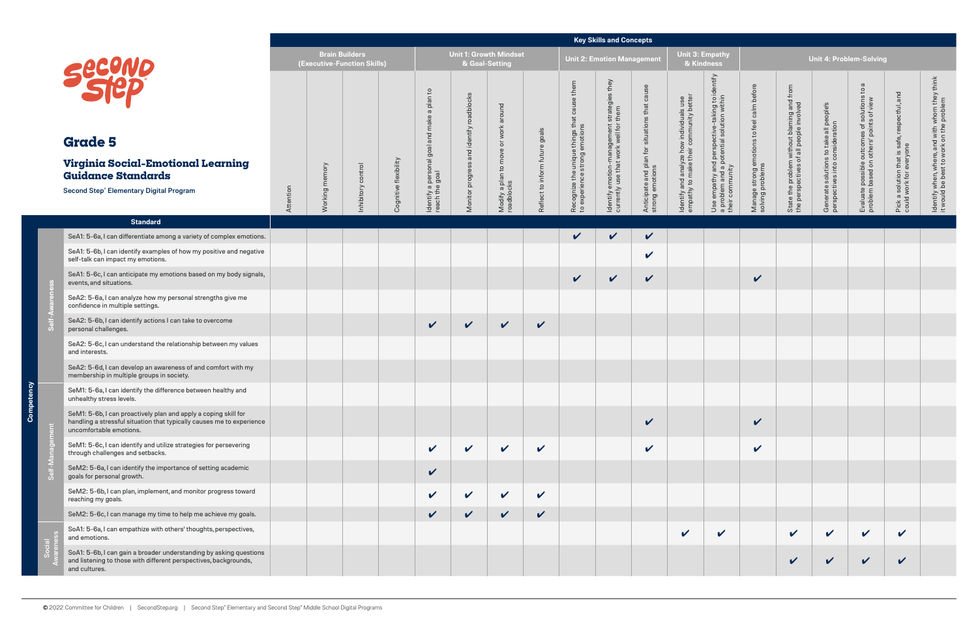|                                                                                                                                                                     |           |                                                      |                  |                       |                                     |                                                 |                                                    |                                |                                                                                    | <b>Key Skills and Concepts</b>                                                          |                                                                  |                                                                                   |                                                                                                                   |                                                                |                                                                                       |                                                                            |                                                                                                                |                                                                          |                                                                                           |
|---------------------------------------------------------------------------------------------------------------------------------------------------------------------|-----------|------------------------------------------------------|------------------|-----------------------|-------------------------------------|-------------------------------------------------|----------------------------------------------------|--------------------------------|------------------------------------------------------------------------------------|-----------------------------------------------------------------------------------------|------------------------------------------------------------------|-----------------------------------------------------------------------------------|-------------------------------------------------------------------------------------------------------------------|----------------------------------------------------------------|---------------------------------------------------------------------------------------|----------------------------------------------------------------------------|----------------------------------------------------------------------------------------------------------------|--------------------------------------------------------------------------|-------------------------------------------------------------------------------------------|
|                                                                                                                                                                     |           | <b>Brain Builders</b><br>(Executive-Function Skills) |                  |                       |                                     | <b>Unit 1: Growth Mindset</b><br>& Goal-Setting |                                                    |                                |                                                                                    | <b>Unit 2: Emotion Management</b>                                                       |                                                                  |                                                                                   | <b>Unit 3: Empathy</b><br>& Kindness                                                                              |                                                                |                                                                                       |                                                                            | <b>Unit 4: Problem-Solving</b>                                                                                 |                                                                          |                                                                                           |
| <b>Second</b><br><b>Grade 5</b>                                                                                                                                     |           |                                                      |                  |                       | a plan to<br>and make               | and identify roadblocks                         | Modify a plan to move or work around<br>roadblocks |                                | them<br>cause<br>Recognize the unique things that<br>to experience strong emotions | they<br>Identify emotion-management strategies<br>currently use that work well for them | Anticipate and plan for situations that cause<br>strong emotions | Identify and analyze how individuals use<br>empathy to make their community bette | entify<br>Use empathy and perspective-taking to i<br>a problem and a potential solution within<br>their community | Manage strong emotions to feel calm before<br>solving problems | State the problem without blaming and from<br>the perspectives of all people involved | Generate solutions to take all people's<br>perspectives into consideration | $\sigma$<br>$\mathsf{S}$<br>Evaluate possible outcomes of solutions<br>problem based on others' points of view | Pick a solution that is safe, respectful, and<br>could work for everyone | ldentify when, where, and with whom they think<br>it would be best to work on the problem |
| <b>Virginia Social-Emotional Learning</b><br><b>Guidance Standards</b>                                                                                              |           | memory                                               |                  |                       | Isogland                            |                                                 |                                                    |                                |                                                                                    |                                                                                         |                                                                  |                                                                                   |                                                                                                                   |                                                                |                                                                                       |                                                                            |                                                                                                                |                                                                          |                                                                                           |
| <b>Second Step® Elementary Digital Program</b>                                                                                                                      | Attention | Working                                              | hibitory control | Cognitive flexibility | Identify a persor<br>reach the goal | Monitor progress                                |                                                    | Reflect to inform future goals |                                                                                    |                                                                                         |                                                                  |                                                                                   |                                                                                                                   |                                                                |                                                                                       |                                                                            |                                                                                                                |                                                                          |                                                                                           |
| <b>Standard</b>                                                                                                                                                     |           |                                                      |                  |                       |                                     |                                                 |                                                    |                                |                                                                                    |                                                                                         |                                                                  |                                                                                   |                                                                                                                   |                                                                |                                                                                       |                                                                            |                                                                                                                |                                                                          |                                                                                           |
| SeA1: 5-6a, I can differentiate among a variety of complex emotions.                                                                                                |           |                                                      |                  |                       |                                     |                                                 |                                                    |                                | $\checkmark$                                                                       | $\checkmark$                                                                            | $\checkmark$                                                     |                                                                                   |                                                                                                                   |                                                                |                                                                                       |                                                                            |                                                                                                                |                                                                          |                                                                                           |
| SeA1: 5-6b, I can identify examples of how my positive and negative<br>self-talk can impact my emotions.                                                            |           |                                                      |                  |                       |                                     |                                                 |                                                    |                                |                                                                                    |                                                                                         | $\mathbf v$                                                      |                                                                                   |                                                                                                                   |                                                                |                                                                                       |                                                                            |                                                                                                                |                                                                          |                                                                                           |
| SeA1: 5-6c, I can anticipate my emotions based on my body signals,<br>events, and situations.                                                                       |           |                                                      |                  |                       |                                     |                                                 |                                                    |                                | $\checkmark$                                                                       | $\checkmark$                                                                            | $\boldsymbol{\mathcal{U}}$                                       |                                                                                   |                                                                                                                   | $\checkmark$                                                   |                                                                                       |                                                                            |                                                                                                                |                                                                          |                                                                                           |
| SeA2: 5-6a, I can analyze how my personal strengths give me<br>confidence in multiple settings.                                                                     |           |                                                      |                  |                       |                                     |                                                 |                                                    |                                |                                                                                    |                                                                                         |                                                                  |                                                                                   |                                                                                                                   |                                                                |                                                                                       |                                                                            |                                                                                                                |                                                                          |                                                                                           |
| SeA2: 5-6b, I can identify actions I can take to overcome<br>personal challenges.                                                                                   |           |                                                      |                  |                       | $\checkmark$                        | $\checkmark$                                    | $\checkmark$                                       | $\checkmark$                   |                                                                                    |                                                                                         |                                                                  |                                                                                   |                                                                                                                   |                                                                |                                                                                       |                                                                            |                                                                                                                |                                                                          |                                                                                           |
| SeA2: 5-6c, I can understand the relationship between my values<br>and interests.                                                                                   |           |                                                      |                  |                       |                                     |                                                 |                                                    |                                |                                                                                    |                                                                                         |                                                                  |                                                                                   |                                                                                                                   |                                                                |                                                                                       |                                                                            |                                                                                                                |                                                                          |                                                                                           |
| SeA2: 5-6d, I can develop an awareness of and comfort with my<br>membership in multiple groups in society.                                                          |           |                                                      |                  |                       |                                     |                                                 |                                                    |                                |                                                                                    |                                                                                         |                                                                  |                                                                                   |                                                                                                                   |                                                                |                                                                                       |                                                                            |                                                                                                                |                                                                          |                                                                                           |
| SeM1: 5-6a, I can identify the difference between healthy and<br>unhealthy stress levels.                                                                           |           |                                                      |                  |                       |                                     |                                                 |                                                    |                                |                                                                                    |                                                                                         |                                                                  |                                                                                   |                                                                                                                   |                                                                |                                                                                       |                                                                            |                                                                                                                |                                                                          |                                                                                           |
| SeM1: 5-6b, I can proactively plan and apply a coping skill for<br>handling a stressful situation that typically causes me to experience<br>uncomfortable emotions. |           |                                                      |                  |                       |                                     |                                                 |                                                    |                                |                                                                                    |                                                                                         | $\checkmark$                                                     |                                                                                   |                                                                                                                   | $\checkmark$                                                   |                                                                                       |                                                                            |                                                                                                                |                                                                          |                                                                                           |
| SeM1: 5-6c, I can identify and utilize strategies for persevering<br>through challenges and setbacks.                                                               |           |                                                      |                  |                       | $\checkmark$                        | $\checkmark$                                    | $\mathbf v$                                        | $\checkmark$                   |                                                                                    |                                                                                         | $\mathbf v$                                                      |                                                                                   |                                                                                                                   | $\checkmark$                                                   |                                                                                       |                                                                            |                                                                                                                |                                                                          |                                                                                           |
| SeM2: 5-6a, I can identify the importance of setting academic<br>goals for personal growth.                                                                         |           |                                                      |                  |                       | $\checkmark$                        |                                                 |                                                    |                                |                                                                                    |                                                                                         |                                                                  |                                                                                   |                                                                                                                   |                                                                |                                                                                       |                                                                            |                                                                                                                |                                                                          |                                                                                           |
| SeM2: 5-6b, I can plan, implement, and monitor progress toward<br>reaching my goals.                                                                                |           |                                                      |                  |                       | $\checkmark$                        | $\checkmark$                                    | $\mathbf v$                                        | $\checkmark$                   |                                                                                    |                                                                                         |                                                                  |                                                                                   |                                                                                                                   |                                                                |                                                                                       |                                                                            |                                                                                                                |                                                                          |                                                                                           |
| SeM2: 5-6c, I can manage my time to help me achieve my goals.                                                                                                       |           |                                                      |                  |                       | $\checkmark$                        | $\checkmark$                                    | $\checkmark$                                       | $\checkmark$                   |                                                                                    |                                                                                         |                                                                  |                                                                                   |                                                                                                                   |                                                                |                                                                                       |                                                                            |                                                                                                                |                                                                          |                                                                                           |
| SoA1: 5-6a, I can empathize with others' thoughts, perspectives,<br>and emotions.                                                                                   |           |                                                      |                  |                       |                                     |                                                 |                                                    |                                |                                                                                    |                                                                                         |                                                                  | $\checkmark$                                                                      | $\mathbf v$                                                                                                       |                                                                | $\checkmark$                                                                          | $\checkmark$                                                               | $\checkmark$                                                                                                   | $\mathbf v$                                                              |                                                                                           |
| SoA1: 5-6b, I can gain a broader understanding by asking questions<br>and listening to those with different perspectives, backgrounds,<br>and cultures.             |           |                                                      |                  |                       |                                     |                                                 |                                                    |                                |                                                                                    |                                                                                         |                                                                  |                                                                                   |                                                                                                                   |                                                                | $\checkmark$                                                                          | $\checkmark$                                                               | $\mathbf v$                                                                                                    | $\checkmark$                                                             |                                                                                           |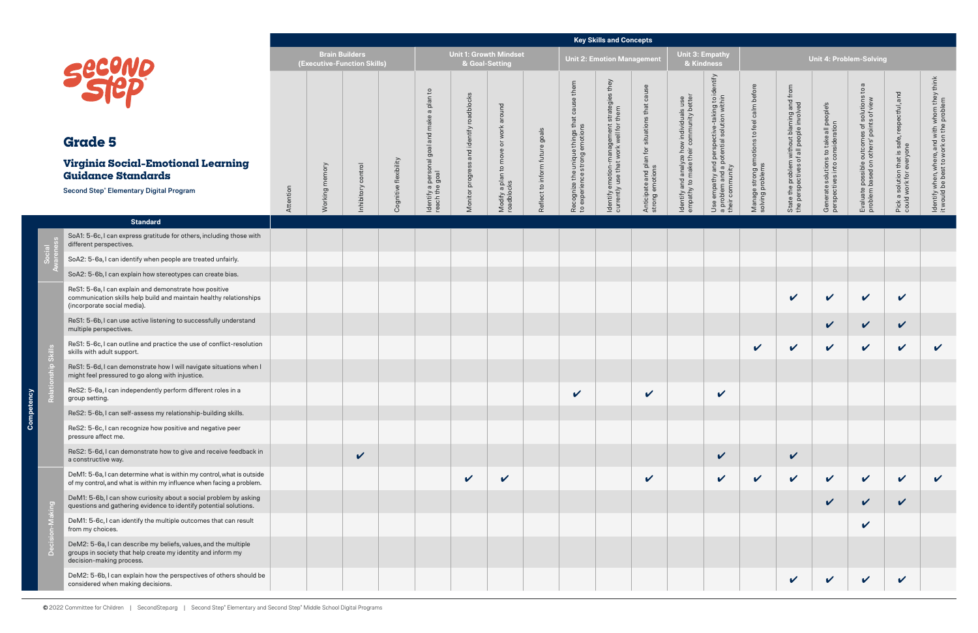|                                                                                                                                                             |           |                                                      |                    |                       |                                                     |                     |                                     |                   |                                                                   | <b>Key Skills and Concepts</b>                                    |                                                                     |                                                                                    |                                                                                                                        |                                                                |                                                                                       |                                                                            |                                                                 |                                                                          |                                                                                           |
|-------------------------------------------------------------------------------------------------------------------------------------------------------------|-----------|------------------------------------------------------|--------------------|-----------------------|-----------------------------------------------------|---------------------|-------------------------------------|-------------------|-------------------------------------------------------------------|-------------------------------------------------------------------|---------------------------------------------------------------------|------------------------------------------------------------------------------------|------------------------------------------------------------------------------------------------------------------------|----------------------------------------------------------------|---------------------------------------------------------------------------------------|----------------------------------------------------------------------------|-----------------------------------------------------------------|--------------------------------------------------------------------------|-------------------------------------------------------------------------------------------|
|                                                                                                                                                             |           | <b>Brain Builders</b><br>(Executive-Function Skills) |                    |                       |                                                     | & Goal-Setting      | <b>Unit 1: Growth Mindset</b>       |                   |                                                                   | <b>Unit 2: Emotion Management</b>                                 |                                                                     | Unit 3: Empathy<br>& Kindness                                                      |                                                                                                                        |                                                                |                                                                                       | <b>Unit 4: Problem-Solving</b>                                             |                                                                 |                                                                          |                                                                                           |
| <b>SECOND</b>                                                                                                                                               |           |                                                      |                    |                       | a plan to                                           | identify roadblocks | work around                         | goals             | cause them                                                        | : strategies they<br>r them                                       | cause<br>Anticipate and plan for situations that<br>strong emotions | Identify and analyze how individuals use<br>empathy to make their community better | entify<br>으<br>Use empathy and perspective-taking to i<br>a problem and a potential solution within<br>their community | Manage strong emotions to feel calm before<br>solving problems | State the problem without blaming and from<br>the perspectives of all people involved | Generate solutions to take all people's<br>perspectives into consideration | $\sigma$<br>$\mathbb{S}^1$<br>of solutions to                   | Pick a solution that is safe, respectful, and<br>could work for everyone | ldentify when, where, and with whom they think<br>it would be best to work on the problem |
| <b>Grade 5</b>                                                                                                                                              |           |                                                      |                    |                       |                                                     |                     |                                     | future            |                                                                   |                                                                   |                                                                     |                                                                                    |                                                                                                                        |                                                                |                                                                                       |                                                                            |                                                                 |                                                                          |                                                                                           |
| Virginia Social-Emotional Learning<br><b>Guidance Standards</b>                                                                                             |           | memory                                               |                    |                       | Identify a personal goal and make<br>reach the goal | and                 | Modify a plan to move<br>roadblocks |                   | Recognize the unique things that<br>to experience strong emotions | ldentify emotion-management :<br>currently use that work well for |                                                                     |                                                                                    |                                                                                                                        |                                                                |                                                                                       |                                                                            | Evaluate possible outcomes of<br>problem based on others' point |                                                                          |                                                                                           |
| Second Step® Elementary Digital Program                                                                                                                     | Attention | loui<br><b>Norki</b>                                 | Inhibitory control | Cognitive flexibility |                                                     | Monitor progress    |                                     | Reflect to inform |                                                                   |                                                                   |                                                                     |                                                                                    |                                                                                                                        |                                                                |                                                                                       |                                                                            |                                                                 |                                                                          |                                                                                           |
| <b>Standard</b>                                                                                                                                             |           |                                                      |                    |                       |                                                     |                     |                                     |                   |                                                                   |                                                                   |                                                                     |                                                                                    |                                                                                                                        |                                                                |                                                                                       |                                                                            |                                                                 |                                                                          |                                                                                           |
| SoA1: 5-6c, I can express gratitude for others, including those with<br>different perspectives.                                                             |           |                                                      |                    |                       |                                                     |                     |                                     |                   |                                                                   |                                                                   |                                                                     |                                                                                    |                                                                                                                        |                                                                |                                                                                       |                                                                            |                                                                 |                                                                          |                                                                                           |
| SoA2: 5-6a, I can identify when people are treated unfairly.                                                                                                |           |                                                      |                    |                       |                                                     |                     |                                     |                   |                                                                   |                                                                   |                                                                     |                                                                                    |                                                                                                                        |                                                                |                                                                                       |                                                                            |                                                                 |                                                                          |                                                                                           |
| SoA2: 5-6b, I can explain how stereotypes can create bias.                                                                                                  |           |                                                      |                    |                       |                                                     |                     |                                     |                   |                                                                   |                                                                   |                                                                     |                                                                                    |                                                                                                                        |                                                                |                                                                                       |                                                                            |                                                                 |                                                                          |                                                                                           |
| ReS1: 5-6a, I can explain and demonstrate how positive<br>communication skills help build and maintain healthy relationships<br>(incorporate social media). |           |                                                      |                    |                       |                                                     |                     |                                     |                   |                                                                   |                                                                   |                                                                     |                                                                                    |                                                                                                                        |                                                                | $\checkmark$                                                                          | $\checkmark$                                                               | $\checkmark$                                                    | $\checkmark$                                                             |                                                                                           |
| ReS1: 5-6b, I can use active listening to successfully understand<br>multiple perspectives.                                                                 |           |                                                      |                    |                       |                                                     |                     |                                     |                   |                                                                   |                                                                   |                                                                     |                                                                                    |                                                                                                                        |                                                                |                                                                                       | $\checkmark$                                                               | $\checkmark$                                                    | $\checkmark$                                                             |                                                                                           |
| ReS1: 5-6c, I can outline and practice the use of conflict-resolution<br>skills with adult support.                                                         |           |                                                      |                    |                       |                                                     |                     |                                     |                   |                                                                   |                                                                   |                                                                     |                                                                                    |                                                                                                                        | $\checkmark$                                                   | $\checkmark$                                                                          | $\checkmark$                                                               | $\checkmark$                                                    | $\mathbf v$                                                              | $\boldsymbol{\mathcal{U}}$                                                                |
| ReS1: 5-6d, I can demonstrate how I will navigate situations when I<br>might feel pressured to go along with injustice.                                     |           |                                                      |                    |                       |                                                     |                     |                                     |                   |                                                                   |                                                                   |                                                                     |                                                                                    |                                                                                                                        |                                                                |                                                                                       |                                                                            |                                                                 |                                                                          |                                                                                           |
| ReS2: 5-6a, I can independently perform different roles in a<br>group setting.                                                                              |           |                                                      |                    |                       |                                                     |                     |                                     |                   | $\sqrt{2}$                                                        |                                                                   | $\vee$                                                              |                                                                                    | $\vee$                                                                                                                 |                                                                |                                                                                       |                                                                            |                                                                 |                                                                          |                                                                                           |
| ReS2: 5-6b, I can self-assess my relationship-building skills.                                                                                              |           |                                                      |                    |                       |                                                     |                     |                                     |                   |                                                                   |                                                                   |                                                                     |                                                                                    |                                                                                                                        |                                                                |                                                                                       |                                                                            |                                                                 |                                                                          |                                                                                           |
| ReS2: 5-6c, I can recognize how positive and negative peer<br>pressure affect me.                                                                           |           |                                                      |                    |                       |                                                     |                     |                                     |                   |                                                                   |                                                                   |                                                                     |                                                                                    |                                                                                                                        |                                                                |                                                                                       |                                                                            |                                                                 |                                                                          |                                                                                           |
| ReS2: 5-6d, I can demonstrate how to give and receive feedback in<br>a constructive way.                                                                    |           |                                                      | $\checkmark$       |                       |                                                     |                     |                                     |                   |                                                                   |                                                                   |                                                                     |                                                                                    | $\checkmark$                                                                                                           |                                                                | $\checkmark$                                                                          |                                                                            |                                                                 |                                                                          |                                                                                           |
| DeM1: 5-6a, I can determine what is within my control, what is outside<br>of my control, and what is within my influence when facing a problem.             |           |                                                      |                    |                       |                                                     | $\checkmark$        | $\checkmark$                        |                   |                                                                   |                                                                   | $\boldsymbol{\mathcal{U}}$                                          |                                                                                    | $\checkmark$                                                                                                           | $\mathbf v$                                                    | $\checkmark$                                                                          | $\mathbf v$                                                                | $\checkmark$                                                    | $\boldsymbol{\mathcal{U}}$                                               |                                                                                           |
| DeM1: 5-6b, I can show curiosity about a social problem by asking<br>questions and gathering evidence to identify potential solutions.                      |           |                                                      |                    |                       |                                                     |                     |                                     |                   |                                                                   |                                                                   |                                                                     |                                                                                    |                                                                                                                        |                                                                |                                                                                       | $\checkmark$                                                               | $\checkmark$                                                    | $\checkmark$                                                             |                                                                                           |
| DeM1: 5-6c, I can identify the multiple outcomes that can result<br>from my choices.                                                                        |           |                                                      |                    |                       |                                                     |                     |                                     |                   |                                                                   |                                                                   |                                                                     |                                                                                    |                                                                                                                        |                                                                |                                                                                       |                                                                            | V                                                               |                                                                          |                                                                                           |
| DeM2: 5-6a, I can describe my beliefs, values, and the multiple<br>groups in society that help create my identity and inform my<br>decision-making process. |           |                                                      |                    |                       |                                                     |                     |                                     |                   |                                                                   |                                                                   |                                                                     |                                                                                    |                                                                                                                        |                                                                |                                                                                       |                                                                            |                                                                 |                                                                          |                                                                                           |
| DeM2: 5-6b, I can explain how the perspectives of others should be<br>considered when making decisions.                                                     |           |                                                      |                    |                       |                                                     |                     |                                     |                   |                                                                   |                                                                   |                                                                     |                                                                                    |                                                                                                                        |                                                                | $\mathbf v$                                                                           | $\checkmark$                                                               | $\checkmark$                                                    | $\boldsymbol{\mathcal{U}}$                                               |                                                                                           |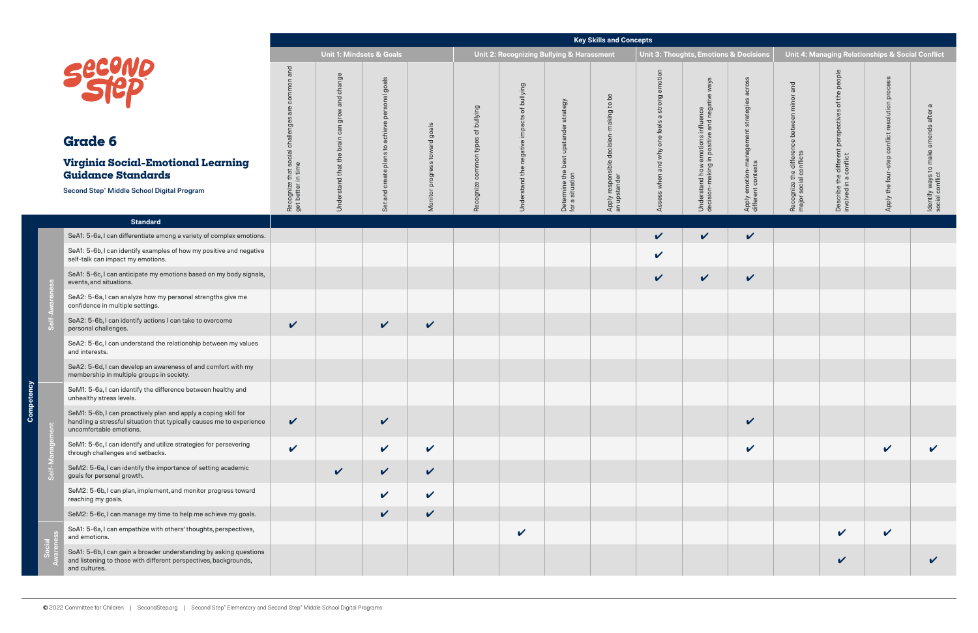| ons & Decisions                                                  |                                                                      | Unit 4: Managing Relationships & Social Conflict                            |                                                 |                                                         |
|------------------------------------------------------------------|----------------------------------------------------------------------|-----------------------------------------------------------------------------|-------------------------------------------------|---------------------------------------------------------|
| Apply emotion-management strategies across<br>different contexts | Recognize the difference between minor and<br>major social conflicts | Describe the different perspectives of the people<br>involved in a conflict | Apply the four-step conflict resolution process | Identify ways to make amends after a<br>social conflict |
| V                                                                |                                                                      |                                                                             |                                                 |                                                         |
|                                                                  |                                                                      |                                                                             |                                                 |                                                         |
|                                                                  |                                                                      |                                                                             |                                                 |                                                         |
|                                                                  |                                                                      |                                                                             |                                                 |                                                         |
|                                                                  |                                                                      |                                                                             |                                                 |                                                         |
|                                                                  |                                                                      |                                                                             |                                                 |                                                         |
|                                                                  |                                                                      |                                                                             |                                                 |                                                         |
|                                                                  |                                                                      |                                                                             |                                                 |                                                         |
|                                                                  |                                                                      |                                                                             |                                                 |                                                         |
|                                                                  |                                                                      |                                                                             |                                                 |                                                         |
|                                                                  |                                                                      |                                                                             |                                                 |                                                         |
|                                                                  |                                                                      |                                                                             |                                                 |                                                         |
|                                                                  |                                                                      |                                                                             |                                                 |                                                         |
|                                                                  |                                                                      |                                                                             |                                                 |                                                         |
|                                                                  |                                                                      |                                                                             |                                                 |                                                         |

င်

|                                                                                                                                                                     |                                                                      |                                                                                                     |                                                                                                                                                |                                     |                                          |                                                |                                                             | <b>Key Skills and Concepts</b>                               |                                                   |                                                                                                                   |                                                                        |                                                                            |                                                                                                  |                                                       |                                                                   |
|---------------------------------------------------------------------------------------------------------------------------------------------------------------------|----------------------------------------------------------------------|-----------------------------------------------------------------------------------------------------|------------------------------------------------------------------------------------------------------------------------------------------------|-------------------------------------|------------------------------------------|------------------------------------------------|-------------------------------------------------------------|--------------------------------------------------------------|---------------------------------------------------|-------------------------------------------------------------------------------------------------------------------|------------------------------------------------------------------------|----------------------------------------------------------------------------|--------------------------------------------------------------------------------------------------|-------------------------------------------------------|-------------------------------------------------------------------|
|                                                                                                                                                                     |                                                                      |                                                                                                     | <b>Unit 1: Mindsets &amp; Goals</b>                                                                                                            |                                     |                                          |                                                | Unit 2: Recognizing Bullying & Harassment                   |                                                              |                                                   | Unit 3: Thoughts, Emotions & Decisions                                                                            |                                                                        |                                                                            |                                                                                                  | Unit 4: Managing Relationships & Social Conflict      |                                                                   |
| <b>Second</b><br><b>Grade 6</b><br>Virginia Social-Emotional Learning<br><b>Guidance Standards</b><br>Second Step® Middle School Digital Program                    | and<br>ommor<br>Recognize that social challeng<br>get better in time | change<br>and<br>grow<br>$\overline{\phantom{a}}$<br>$\overline{c}$<br>brain<br>Understand that the | goals<br>$\overline{\mathbb{E}}$<br>5<br>ဖ<br>ক্র<br>$\bar{\mathbf{a}}$<br>chieve<br>$\sigma$<br>$\mathtt{c}$<br>plans<br>create<br>and<br>Set | goals<br>progress toward<br>Monitor | of bullying<br>common types<br>Recognize | of bullying<br>Understand the negative impacts | strategy<br>Determine the best upstander<br>for a situation | decision-making to be<br>Apply responsible c<br>an upstander | emotion<br>Assess when and why one feels a strong | ways<br>$\mathbf{\Phi}$<br>emotions influence<br>in positive and negativ<br>Understand how e<br>decision-making i | across<br>strategies<br>Apply emotion-management<br>different contexts | and<br>minor<br>Recognize the difference between<br>major social conflicts | people<br>the<br>$\overline{\sigma}$<br>es<br>different perspectiv<br>conflict<br>Describe the o | process<br>conflict resolution<br>Apply the four-step | $\sigma$<br>ldentify ways to make amends after<br>social conflict |
| <b>Standard</b>                                                                                                                                                     |                                                                      |                                                                                                     |                                                                                                                                                |                                     |                                          |                                                |                                                             |                                                              |                                                   |                                                                                                                   |                                                                        |                                                                            |                                                                                                  |                                                       |                                                                   |
| SeA1: 5-6a, I can differentiate among a variety of complex emotions.                                                                                                |                                                                      |                                                                                                     |                                                                                                                                                |                                     |                                          |                                                |                                                             |                                                              | V                                                 | $\checkmark$                                                                                                      | $\checkmark$                                                           |                                                                            |                                                                                                  |                                                       |                                                                   |
| SeA1: 5-6b, I can identify examples of how my positive and negative<br>self-talk can impact my emotions.                                                            |                                                                      |                                                                                                     |                                                                                                                                                |                                     |                                          |                                                |                                                             |                                                              | $\checkmark$                                      |                                                                                                                   |                                                                        |                                                                            |                                                                                                  |                                                       |                                                                   |
| SeA1: 5-6c, I can anticipate my emotions based on my body signals,<br>events, and situations.                                                                       |                                                                      |                                                                                                     |                                                                                                                                                |                                     |                                          |                                                |                                                             |                                                              | $\checkmark$                                      | $\checkmark$                                                                                                      | $\checkmark$                                                           |                                                                            |                                                                                                  |                                                       |                                                                   |
| SeA2: 5-6a, I can analyze how my personal strengths give me<br>confidence in multiple settings.                                                                     |                                                                      |                                                                                                     |                                                                                                                                                |                                     |                                          |                                                |                                                             |                                                              |                                                   |                                                                                                                   |                                                                        |                                                                            |                                                                                                  |                                                       |                                                                   |
| SeA2: 5-6b, I can identify actions I can take to overcome<br>personal challenges.                                                                                   | $\checkmark$                                                         |                                                                                                     | $\checkmark$                                                                                                                                   | $\checkmark$                        |                                          |                                                |                                                             |                                                              |                                                   |                                                                                                                   |                                                                        |                                                                            |                                                                                                  |                                                       |                                                                   |
| SeA2: 5-6c, I can understand the relationship between my values<br>and interests.                                                                                   |                                                                      |                                                                                                     |                                                                                                                                                |                                     |                                          |                                                |                                                             |                                                              |                                                   |                                                                                                                   |                                                                        |                                                                            |                                                                                                  |                                                       |                                                                   |
| SeA2: 5-6d, I can develop an awareness of and comfort with my<br>membership in multiple groups in society.                                                          |                                                                      |                                                                                                     |                                                                                                                                                |                                     |                                          |                                                |                                                             |                                                              |                                                   |                                                                                                                   |                                                                        |                                                                            |                                                                                                  |                                                       |                                                                   |
| SeM1: 5-6a, I can identify the difference between healthy and<br>unhealthy stress levels.                                                                           |                                                                      |                                                                                                     |                                                                                                                                                |                                     |                                          |                                                |                                                             |                                                              |                                                   |                                                                                                                   |                                                                        |                                                                            |                                                                                                  |                                                       |                                                                   |
| SeM1: 5-6b, I can proactively plan and apply a coping skill for<br>handling a stressful situation that typically causes me to experience<br>uncomfortable emotions. | $\checkmark$                                                         |                                                                                                     | $\checkmark$                                                                                                                                   |                                     |                                          |                                                |                                                             |                                                              |                                                   |                                                                                                                   | $\checkmark$                                                           |                                                                            |                                                                                                  |                                                       |                                                                   |
| SeM1: 5-6c, I can identify and utilize strategies for persevering<br>through challenges and setbacks.                                                               | $\checkmark$                                                         |                                                                                                     | $\checkmark$                                                                                                                                   | $\checkmark$                        |                                          |                                                |                                                             |                                                              |                                                   |                                                                                                                   | $\checkmark$                                                           |                                                                            |                                                                                                  | $\checkmark$                                          |                                                                   |
| SeM2: 5-6a, I can identify the importance of setting academic<br>goals for personal growth.                                                                         |                                                                      | $\mathbf v$                                                                                         | $\checkmark$                                                                                                                                   | $\mathbf v$                         |                                          |                                                |                                                             |                                                              |                                                   |                                                                                                                   |                                                                        |                                                                            |                                                                                                  |                                                       |                                                                   |
| SeM2: 5-6b, I can plan, implement, and monitor progress toward<br>reaching my goals.                                                                                |                                                                      |                                                                                                     | $\checkmark$                                                                                                                                   | $\checkmark$                        |                                          |                                                |                                                             |                                                              |                                                   |                                                                                                                   |                                                                        |                                                                            |                                                                                                  |                                                       |                                                                   |
| SeM2: 5-6c, I can manage my time to help me achieve my goals.                                                                                                       |                                                                      |                                                                                                     | $\checkmark$                                                                                                                                   | $\checkmark$                        |                                          |                                                |                                                             |                                                              |                                                   |                                                                                                                   |                                                                        |                                                                            |                                                                                                  |                                                       |                                                                   |
| SoA1: 5-6a, I can empathize with others' thoughts, perspectives,<br>and emotions.                                                                                   |                                                                      |                                                                                                     |                                                                                                                                                |                                     |                                          | $\checkmark$                                   |                                                             |                                                              |                                                   |                                                                                                                   |                                                                        |                                                                            | $\checkmark$                                                                                     | $\checkmark$                                          |                                                                   |
| SoA1: 5-6b, I can gain a broader understanding by asking questions<br>and listening to those with different perspectives, backgrounds,<br>and cultures.             |                                                                      |                                                                                                     |                                                                                                                                                |                                     |                                          |                                                |                                                             |                                                              |                                                   |                                                                                                                   |                                                                        |                                                                            | $\boldsymbol{\mathcal{U}}$                                                                       |                                                       | V                                                                 |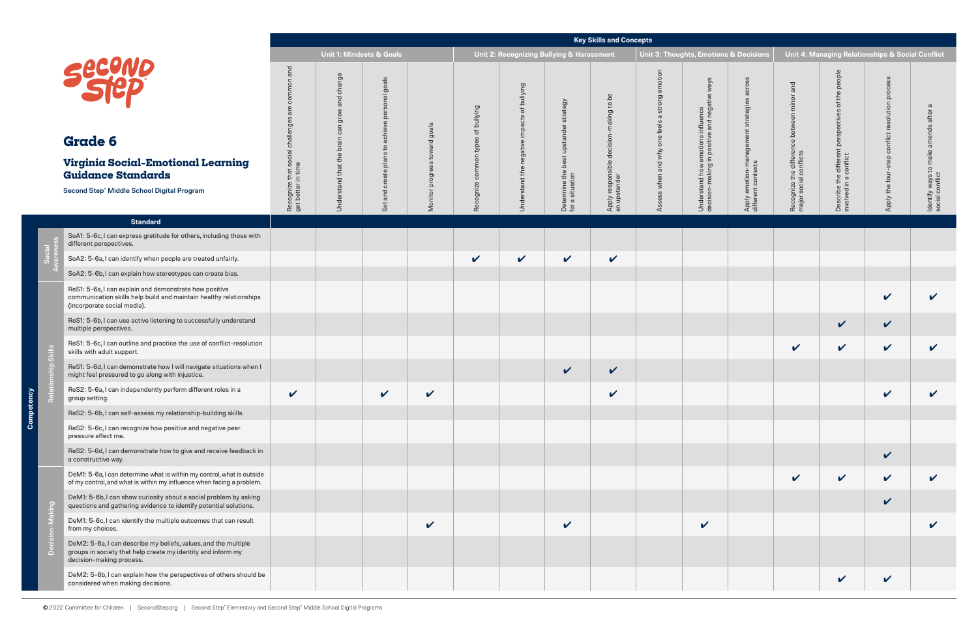| ons & Decisions                                                  |                                                                      | Unit 4: Managing Relationships & Social Conflict                            |                                                 |                                                         |
|------------------------------------------------------------------|----------------------------------------------------------------------|-----------------------------------------------------------------------------|-------------------------------------------------|---------------------------------------------------------|
| Apply emotion-management strategies across<br>different contexts | Recognize the difference between minor and<br>major social conflicts | Describe the different perspectives of the people<br>involved in a conflict | Apply the four-step conflict resolution process | Identify ways to make amends after a<br>social conflict |
|                                                                  |                                                                      |                                                                             |                                                 |                                                         |
|                                                                  |                                                                      |                                                                             |                                                 |                                                         |
|                                                                  |                                                                      |                                                                             |                                                 |                                                         |
|                                                                  |                                                                      |                                                                             |                                                 |                                                         |
|                                                                  |                                                                      |                                                                             |                                                 |                                                         |
|                                                                  |                                                                      |                                                                             | $\checkmark$                                    |                                                         |
|                                                                  |                                                                      |                                                                             |                                                 |                                                         |
|                                                                  |                                                                      |                                                                             |                                                 |                                                         |
|                                                                  |                                                                      |                                                                             |                                                 |                                                         |
|                                                                  |                                                                      |                                                                             |                                                 |                                                         |
|                                                                  |                                                                      |                                                                             |                                                 |                                                         |
|                                                                  |                                                                      |                                                                             |                                                 |                                                         |
|                                                                  |                                                                      |                                                                             | $\mathbf v$                                     |                                                         |
|                                                                  |                                                                      |                                                                             |                                                 | V                                                       |
|                                                                  |                                                                      |                                                                             |                                                 |                                                         |
|                                                                  |                                                                      |                                                                             | V                                               |                                                         |

Compet

ency

|                                                                                                                                                             |                                                                               |                                                                                 |                                                                                                        |                                                           |                                             |                                                                    |                                                     | <b>Key Skills and Concepts</b>                                  |                                                                                                     |                                                                                                               |                                                                       |                                                                           |                                                                                     |                                                          |                                                               |
|-------------------------------------------------------------------------------------------------------------------------------------------------------------|-------------------------------------------------------------------------------|---------------------------------------------------------------------------------|--------------------------------------------------------------------------------------------------------|-----------------------------------------------------------|---------------------------------------------|--------------------------------------------------------------------|-----------------------------------------------------|-----------------------------------------------------------------|-----------------------------------------------------------------------------------------------------|---------------------------------------------------------------------------------------------------------------|-----------------------------------------------------------------------|---------------------------------------------------------------------------|-------------------------------------------------------------------------------------|----------------------------------------------------------|---------------------------------------------------------------|
|                                                                                                                                                             |                                                                               | <b>Unit 1: Mindsets &amp; Goals</b>                                             |                                                                                                        |                                                           |                                             | Unit 2: Recognizing Bullying & Harassment                          |                                                     |                                                                 |                                                                                                     | <b>Unit 3: Thoughts, Emotions &amp; Decisions</b>                                                             |                                                                       |                                                                           |                                                                                     | Unit 4: Managing Relationships & Social Conflict         |                                                               |
| Secund<br><b>Grade 6</b><br>Virginia Social-Emotional Learning<br><b>Guidance Standards</b><br>Second Step® Middle School Digital Program                   | and<br>common<br>are<br>Recognize that social challenge<br>get better in time | change<br>and<br>grow<br>$\subset$<br>ෆී<br>brain<br>stand that the<br>der<br>Š | goals<br>onal<br>pers<br>achieve<br>$\mathsf{C}$<br><b>es</b><br>$\frac{1}{2}$<br>create<br>and<br>Set | goals<br>$\mathbf \sigma$<br>towar<br>progress<br>Monitor | of bullying<br>types<br>common<br>Recognize | bullying<br>$\mathcal{L}$<br>impacts<br>negative<br>Understand the | tegy<br>ermine the<br>situation<br>Deter<br>for a s | to be<br>sible decision-making<br>Apply respons<br>an upstander | $\overline{5}$<br>$\sigma$<br>$\sigma$<br>feels<br>$\omega$<br>$\overline{5}$<br>Id why<br>$\omega$ | s/ew<br>$\mathbb O$<br>emotions influence<br>in positive and negativ<br>Understand how e<br>decision-making i | acros<br>strategies<br>Apply emotion-management<br>different contexts | and<br>$\overline{6}$<br>Recognize the differen<br>major social conflicts | people<br>the<br>৳<br>မိ<br>ctiv<br>perspe<br>aifferent poorflict<br>Describe the o | process<br>resolution<br>conflict<br>Apply the four-step | ത<br>amends after<br>ldentify ways to make<br>social conflict |
| <b>Standard</b>                                                                                                                                             |                                                                               |                                                                                 |                                                                                                        |                                                           |                                             |                                                                    |                                                     |                                                                 |                                                                                                     |                                                                                                               |                                                                       |                                                                           |                                                                                     |                                                          |                                                               |
| SoA1: 5-6c, I can express gratitude for others, including those with<br>different perspectives.                                                             |                                                                               |                                                                                 |                                                                                                        |                                                           |                                             |                                                                    |                                                     |                                                                 |                                                                                                     |                                                                                                               |                                                                       |                                                                           |                                                                                     |                                                          |                                                               |
| SoA2: 5-6a, I can identify when people are treated unfairly.                                                                                                |                                                                               |                                                                                 |                                                                                                        |                                                           | $\checkmark$                                | $\checkmark$                                                       | $\checkmark$                                        | $\checkmark$                                                    |                                                                                                     |                                                                                                               |                                                                       |                                                                           |                                                                                     |                                                          |                                                               |
| SoA2: 5-6b, I can explain how stereotypes can create bias.                                                                                                  |                                                                               |                                                                                 |                                                                                                        |                                                           |                                             |                                                                    |                                                     |                                                                 |                                                                                                     |                                                                                                               |                                                                       |                                                                           |                                                                                     |                                                          |                                                               |
| ReS1: 5-6a, I can explain and demonstrate how positive<br>communication skills help build and maintain healthy relationships<br>(incorporate social media). |                                                                               |                                                                                 |                                                                                                        |                                                           |                                             |                                                                    |                                                     |                                                                 |                                                                                                     |                                                                                                               |                                                                       |                                                                           |                                                                                     | $\checkmark$                                             | $\boldsymbol{\mathcal{U}}$                                    |
| ReS1: 5-6b, I can use active listening to successfully understand<br>multiple perspectives.                                                                 |                                                                               |                                                                                 |                                                                                                        |                                                           |                                             |                                                                    |                                                     |                                                                 |                                                                                                     |                                                                                                               |                                                                       |                                                                           | $\checkmark$                                                                        | $\checkmark$                                             |                                                               |
| ReS1: 5-6c, I can outline and practice the use of conflict-resolution<br>skills with adult support.                                                         |                                                                               |                                                                                 |                                                                                                        |                                                           |                                             |                                                                    |                                                     |                                                                 |                                                                                                     |                                                                                                               |                                                                       | $\checkmark$                                                              | $\checkmark$                                                                        | $\checkmark$                                             | $\boldsymbol{\mathcal{U}}$                                    |
| ReS1: 5-6d, I can demonstrate how I will navigate situations when I<br>might feel pressured to go along with injustice.                                     |                                                                               |                                                                                 |                                                                                                        |                                                           |                                             |                                                                    | $\checkmark$                                        | $\checkmark$                                                    |                                                                                                     |                                                                                                               |                                                                       |                                                                           |                                                                                     |                                                          |                                                               |
| ReS2: 5-6a, I can independently perform different roles in a<br>group setting.                                                                              | $\mathbf{z}$                                                                  |                                                                                 | $\mathbf{z}$                                                                                           | $\mathbf{v}$                                              |                                             |                                                                    |                                                     | V                                                               |                                                                                                     |                                                                                                               |                                                                       |                                                                           |                                                                                     | $\mathbf{z}$                                             | $\overline{ }$                                                |
| ReS2: 5-6b, I can self-assess my relationship-building skills.                                                                                              |                                                                               |                                                                                 |                                                                                                        |                                                           |                                             |                                                                    |                                                     |                                                                 |                                                                                                     |                                                                                                               |                                                                       |                                                                           |                                                                                     |                                                          |                                                               |
| ReS2: 5-6c, I can recognize how positive and negative peer<br>pressure affect me.                                                                           |                                                                               |                                                                                 |                                                                                                        |                                                           |                                             |                                                                    |                                                     |                                                                 |                                                                                                     |                                                                                                               |                                                                       |                                                                           |                                                                                     |                                                          |                                                               |
| ReS2: 5-6d, I can demonstrate how to give and receive feedback in<br>a constructive way.                                                                    |                                                                               |                                                                                 |                                                                                                        |                                                           |                                             |                                                                    |                                                     |                                                                 |                                                                                                     |                                                                                                               |                                                                       |                                                                           |                                                                                     | $\checkmark$                                             |                                                               |
| DeM1: 5-6a, I can determine what is within my control, what is outside<br>of my control, and what is within my influence when facing a problem.             |                                                                               |                                                                                 |                                                                                                        |                                                           |                                             |                                                                    |                                                     |                                                                 |                                                                                                     |                                                                                                               |                                                                       | $\checkmark$                                                              | $\checkmark$                                                                        | $\checkmark$                                             | $\checkmark$                                                  |
| DeM1: 5-6b, I can show curiosity about a social problem by asking<br>questions and gathering evidence to identify potential solutions.                      |                                                                               |                                                                                 |                                                                                                        |                                                           |                                             |                                                                    |                                                     |                                                                 |                                                                                                     |                                                                                                               |                                                                       |                                                                           |                                                                                     | V                                                        |                                                               |
| DeM1: 5-6c, I can identify the multiple outcomes that can result<br>from my choices.                                                                        |                                                                               |                                                                                 |                                                                                                        | $\checkmark$                                              |                                             |                                                                    | $\checkmark$                                        |                                                                 |                                                                                                     | $\mathbf{v}$                                                                                                  |                                                                       |                                                                           |                                                                                     |                                                          | V                                                             |
| DeM2: 5-6a, I can describe my beliefs, values, and the multiple<br>groups in society that help create my identity and inform my<br>decision-making process. |                                                                               |                                                                                 |                                                                                                        |                                                           |                                             |                                                                    |                                                     |                                                                 |                                                                                                     |                                                                                                               |                                                                       |                                                                           |                                                                                     |                                                          |                                                               |
| DeM2: 5-6b, I can explain how the perspectives of others should be<br>considered when making decisions.                                                     |                                                                               |                                                                                 |                                                                                                        |                                                           |                                             |                                                                    |                                                     |                                                                 |                                                                                                     |                                                                                                               |                                                                       |                                                                           | $\checkmark$                                                                        | $\checkmark$                                             |                                                               |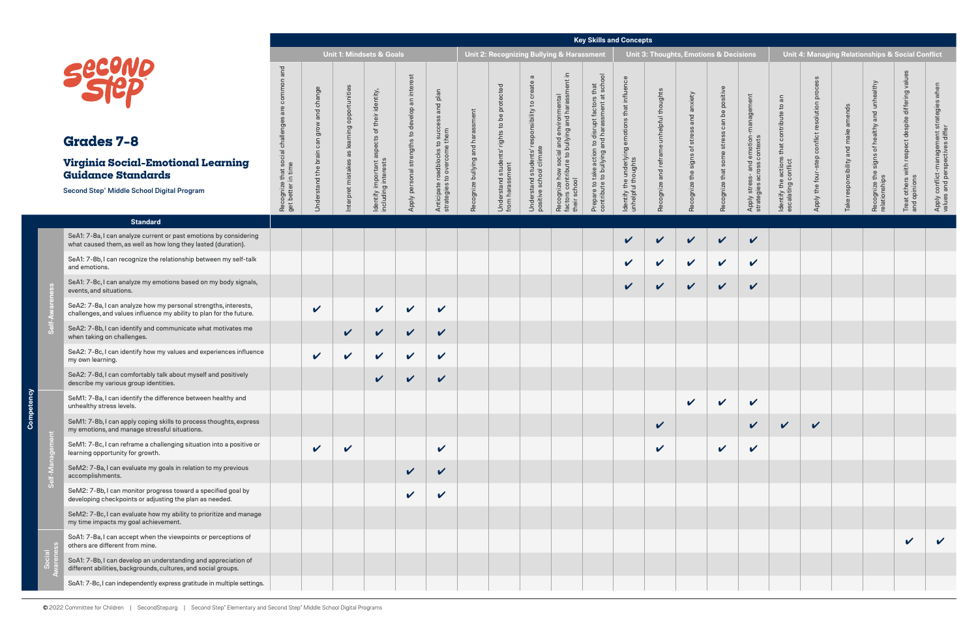### **Key Skills and Concepts**

**Competency**

င်္ပ

ě

| Securio<br><b>Grades 7-8</b><br>Virginia Social-Emotional Learning<br><b>Guidance Standards</b><br>Second Step® Middle School Digital Program |                                                                                                                                        | <b>Unit 1: Mindsets &amp; Goals</b>                                    |                                      |                                                                  |                                                                     |                                                                     |                                                                          | noy oning and opinoopto<br>Unit 2: Recognizing Bullying & Harassment |                                                                              |                                                                                          |                                                                                                                  |                                                                                                           |                                                                             | <b>Unit 3: Thoughts, Emotions &amp; Decisions</b> |                                           |                                                     |                                                                     |                                                                                     | Unit 4: Managing Relationships & Social Conflict |                                       |                                                                 |                                                                     |                                                                 |  |
|-----------------------------------------------------------------------------------------------------------------------------------------------|----------------------------------------------------------------------------------------------------------------------------------------|------------------------------------------------------------------------|--------------------------------------|------------------------------------------------------------------|---------------------------------------------------------------------|---------------------------------------------------------------------|--------------------------------------------------------------------------|----------------------------------------------------------------------|------------------------------------------------------------------------------|------------------------------------------------------------------------------------------|------------------------------------------------------------------------------------------------------------------|-----------------------------------------------------------------------------------------------------------|-----------------------------------------------------------------------------|---------------------------------------------------|-------------------------------------------|-----------------------------------------------------|---------------------------------------------------------------------|-------------------------------------------------------------------------------------|--------------------------------------------------|---------------------------------------|-----------------------------------------------------------------|---------------------------------------------------------------------|-----------------------------------------------------------------|--|
|                                                                                                                                               |                                                                                                                                        | and<br>common<br>Recognize that social challenge<br>get better in time | lange<br>ㅎ<br>ಕಾ<br>قط<br>stand<br>ᅙ | opportunities<br>פַ<br>${\mathfrak{O}}$<br>mistakes<br>Interpret | identity,<br>aspects<br>Identify important a<br>including interests | est<br>an inter<br>to develop<br>strengths<br>sonal<br>per<br>Apply | and plan<br>o succe<br>Anticipate roadblocks t<br>strategies to overcome | Recognize bullying and harassment                                    | protected<br>be<br>rights to<br>its'<br>Understand studen<br>from harassment | $\sigma$<br>cre<br>esponsibility to<br>Understand students' r<br>positive school climate | and environmental<br>Jullying and harassm<br>to bui<br>Recognize how soc<br>factors contribute t<br>their school | o disrupt factors that<br>nd harassment at sch<br>Prepare to take action to<br>contribute to bullying and | influence<br>that<br>ldentify the underlying emotions<br>unhelpful thoughts | Recognize and reframe unhelpful thoughts          | Recognize the signs of stress and anxiety | positive<br>can be<br>some stress<br>Recognize that | <u>ଡ</u><br>Apply stress- and emotion<br>strategies across contexts | contribute to an<br>$\overline{a}$<br>Identify the actions t<br>escalating conflict | $\Omega$<br>Apply the four                       | ends<br>and<br>responsibility<br>Take | althy<br>and<br>Recognize the signs of healthy<br>relationships | differing<br>with respect despite<br>Treat others v<br>and opinions | Apply conflict-management str<br>values and perspectives differ |  |
|                                                                                                                                               | <b>Standard</b>                                                                                                                        |                                                                        |                                      |                                                                  |                                                                     |                                                                     |                                                                          |                                                                      |                                                                              |                                                                                          |                                                                                                                  |                                                                                                           |                                                                             |                                                   |                                           |                                                     |                                                                     |                                                                                     |                                                  |                                       |                                                                 |                                                                     |                                                                 |  |
|                                                                                                                                               | SeA1: 7-8a, I can analyze current or past emotions by considering<br>what caused them, as well as how long they lasted (duration).     |                                                                        |                                      |                                                                  |                                                                     |                                                                     |                                                                          |                                                                      |                                                                              |                                                                                          |                                                                                                                  |                                                                                                           | V                                                                           | $\boldsymbol{\nu}$                                | $\checkmark$                              | $\checkmark$                                        | $\checkmark$                                                        |                                                                                     |                                                  |                                       |                                                                 |                                                                     |                                                                 |  |
|                                                                                                                                               | SeA1: 7-8b, I can recognize the relationship between my self-talk<br>and emotions.                                                     |                                                                        |                                      |                                                                  |                                                                     |                                                                     |                                                                          |                                                                      |                                                                              |                                                                                          |                                                                                                                  |                                                                                                           | $\boldsymbol{\mathcal{U}}$                                                  | $\mathbf v$                                       | $\mathbf v$                               | $\checkmark$                                        | $\checkmark$                                                        |                                                                                     |                                                  |                                       |                                                                 |                                                                     |                                                                 |  |
|                                                                                                                                               | SeA1: 7-8c, I can analyze my emotions based on my body signals,<br>events, and situations.                                             |                                                                        |                                      |                                                                  |                                                                     |                                                                     |                                                                          |                                                                      |                                                                              |                                                                                          |                                                                                                                  |                                                                                                           | V                                                                           | $\checkmark$                                      | $\checkmark$                              | $\checkmark$                                        | $\checkmark$                                                        |                                                                                     |                                                  |                                       |                                                                 |                                                                     |                                                                 |  |
|                                                                                                                                               | SeA2: 7-8a, I can analyze how my personal strengths, interests,<br>challenges, and values influence my ability to plan for the future. |                                                                        | $\checkmark$                         |                                                                  | $\checkmark$                                                        | $\checkmark$                                                        | $\mathbf v$                                                              |                                                                      |                                                                              |                                                                                          |                                                                                                                  |                                                                                                           |                                                                             |                                                   |                                           |                                                     |                                                                     |                                                                                     |                                                  |                                       |                                                                 |                                                                     |                                                                 |  |
|                                                                                                                                               | SeA2: 7-8b, I can identify and communicate what motivates me<br>when taking on challenges.                                             |                                                                        |                                      | $\checkmark$                                                     | $\mathbf{v}$                                                        | $\mathbf v$                                                         | $\checkmark$                                                             |                                                                      |                                                                              |                                                                                          |                                                                                                                  |                                                                                                           |                                                                             |                                                   |                                           |                                                     |                                                                     |                                                                                     |                                                  |                                       |                                                                 |                                                                     |                                                                 |  |
|                                                                                                                                               | SeA2: 7-8c, I can identify how my values and experiences influence<br>my own learning.                                                 |                                                                        | $\checkmark$                         | $\mathbf v$                                                      | $\checkmark$                                                        | $\checkmark$                                                        | $\mathbf v$                                                              |                                                                      |                                                                              |                                                                                          |                                                                                                                  |                                                                                                           |                                                                             |                                                   |                                           |                                                     |                                                                     |                                                                                     |                                                  |                                       |                                                                 |                                                                     |                                                                 |  |
|                                                                                                                                               | SeA2: 7-8d, I can comfortably talk about myself and positively<br>describe my various group identities.                                |                                                                        |                                      |                                                                  | $\checkmark$                                                        | $\checkmark$                                                        | $\checkmark$                                                             |                                                                      |                                                                              |                                                                                          |                                                                                                                  |                                                                                                           |                                                                             |                                                   |                                           |                                                     |                                                                     |                                                                                     |                                                  |                                       |                                                                 |                                                                     |                                                                 |  |
|                                                                                                                                               | SeM1: 7-8a, I can identify the difference between healthy and<br>unhealthy stress levels.                                              |                                                                        |                                      |                                                                  |                                                                     |                                                                     |                                                                          |                                                                      |                                                                              |                                                                                          |                                                                                                                  |                                                                                                           |                                                                             |                                                   | $\overline{\phantom{a}}$                  | $\mathbf{v}$                                        | $\boldsymbol{\mathcal{U}}$                                          |                                                                                     |                                                  |                                       |                                                                 |                                                                     |                                                                 |  |
|                                                                                                                                               | SeM1: 7-8b, I can apply coping skills to process thoughts, express<br>my emotions, and manage stressful situations.                    |                                                                        |                                      |                                                                  |                                                                     |                                                                     |                                                                          |                                                                      |                                                                              |                                                                                          |                                                                                                                  |                                                                                                           |                                                                             | $\checkmark$                                      |                                           |                                                     | V                                                                   | $\boldsymbol{\mathcal{U}}$                                                          | $\checkmark$                                     |                                       |                                                                 |                                                                     |                                                                 |  |
|                                                                                                                                               | SeM1: 7-8c, I can reframe a challenging situation into a positive or<br>learning opportunity for growth.                               |                                                                        | $\checkmark$                         | $\checkmark$                                                     |                                                                     |                                                                     | $\checkmark$                                                             |                                                                      |                                                                              |                                                                                          |                                                                                                                  |                                                                                                           |                                                                             | $\checkmark$                                      |                                           | $\checkmark$                                        | $\checkmark$                                                        |                                                                                     |                                                  |                                       |                                                                 |                                                                     |                                                                 |  |
|                                                                                                                                               | SeM2: 7-8a, I can evaluate my goals in relation to my previous<br>accomplishments.                                                     |                                                                        |                                      |                                                                  |                                                                     | $\checkmark$                                                        | $\boldsymbol{\mathcal{U}}$                                               |                                                                      |                                                                              |                                                                                          |                                                                                                                  |                                                                                                           |                                                                             |                                                   |                                           |                                                     |                                                                     |                                                                                     |                                                  |                                       |                                                                 |                                                                     |                                                                 |  |
|                                                                                                                                               | SeM2: 7-8b, I can monitor progress toward a specified goal by<br>developing checkpoints or adjusting the plan as needed.               |                                                                        |                                      |                                                                  |                                                                     | $\checkmark$                                                        | $\boldsymbol{\mathcal{U}}$                                               |                                                                      |                                                                              |                                                                                          |                                                                                                                  |                                                                                                           |                                                                             |                                                   |                                           |                                                     |                                                                     |                                                                                     |                                                  |                                       |                                                                 |                                                                     |                                                                 |  |
|                                                                                                                                               | SeM2: 7-8c, I can evaluate how my ability to prioritize and manage<br>my time impacts my goal achievement.                             |                                                                        |                                      |                                                                  |                                                                     |                                                                     |                                                                          |                                                                      |                                                                              |                                                                                          |                                                                                                                  |                                                                                                           |                                                                             |                                                   |                                           |                                                     |                                                                     |                                                                                     |                                                  |                                       |                                                                 |                                                                     |                                                                 |  |
|                                                                                                                                               | SoA1: 7-8a, I can accept when the viewpoints or perceptions of<br>others are different from mine.                                      |                                                                        |                                      |                                                                  |                                                                     |                                                                     |                                                                          |                                                                      |                                                                              |                                                                                          |                                                                                                                  |                                                                                                           |                                                                             |                                                   |                                           |                                                     |                                                                     |                                                                                     |                                                  |                                       |                                                                 |                                                                     |                                                                 |  |
|                                                                                                                                               | SoA1: 7-8b, I can develop an understanding and appreciation of<br>different abilities, backgrounds, cultures, and social groups.       |                                                                        |                                      |                                                                  |                                                                     |                                                                     |                                                                          |                                                                      |                                                                              |                                                                                          |                                                                                                                  |                                                                                                           |                                                                             |                                                   |                                           |                                                     |                                                                     |                                                                                     |                                                  |                                       |                                                                 |                                                                     |                                                                 |  |
|                                                                                                                                               | SoA1: 7-8c, I can independently express gratitude in multiple settings.                                                                |                                                                        |                                      |                                                                  |                                                                     |                                                                     |                                                                          |                                                                      |                                                                              |                                                                                          |                                                                                                                  |                                                                                                           |                                                                             |                                                   |                                           |                                                     |                                                                     |                                                                                     |                                                  |                                       |                                                                 |                                                                     |                                                                 |  |